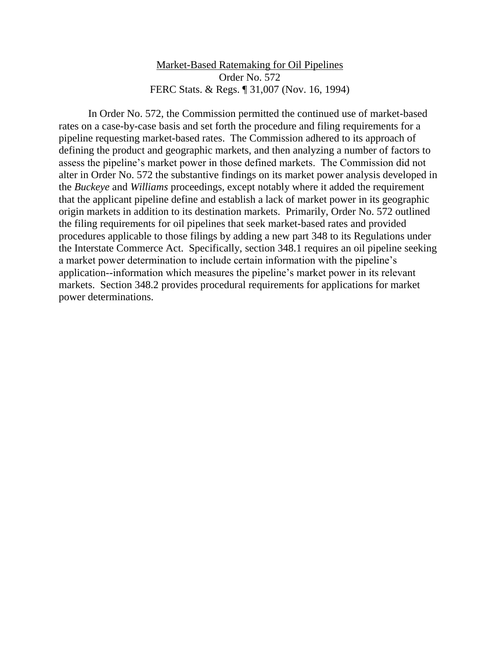# Market-Based Ratemaking for Oil Pipelines Order No. 572 FERC Stats. & Regs. ¶ 31,007 (Nov. 16, 1994)

In Order No. 572, the Commission permitted the continued use of market-based rates on a case-by-case basis and set forth the procedure and filing requirements for a pipeline requesting market-based rates. The Commission adhered to its approach of defining the product and geographic markets, and then analyzing a number of factors to assess the pipeline's market power in those defined markets. The Commission did not alter in Order No. 572 the substantive findings on its market power analysis developed in the *Buckeye* and *Williams* proceedings, except notably where it added the requirement that the applicant pipeline define and establish a lack of market power in its geographic origin markets in addition to its destination markets. Primarily, Order No. 572 outlined the filing requirements for oil pipelines that seek market-based rates and provided procedures applicable to those filings by adding a new part 348 to its Regulations under the Interstate Commerce Act. Specifically, section 348.1 requires an oil pipeline seeking a market power determination to include certain information with the pipeline's application--information which measures the pipeline's market power in its relevant markets. Section 348.2 provides procedural requirements for applications for market power determinations.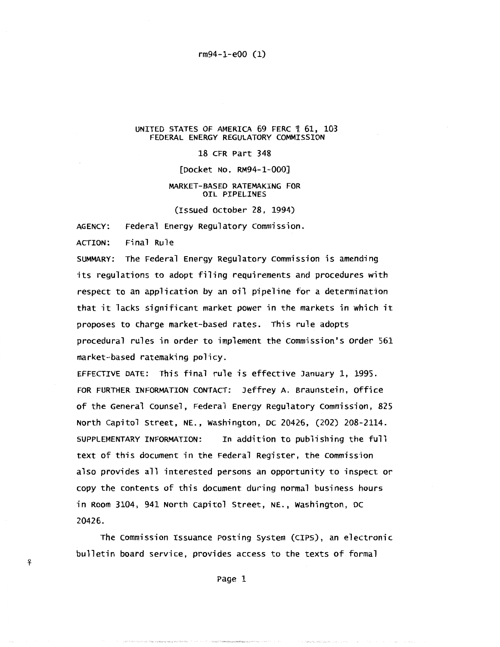rm94-1-e00 (1)

#### UNITED STATES OF AMERICA 69 FERC 1 61, 103 FEDERAL ENERGY REGULATORY COMMISSION

### 18 CFR Part 348

[Docket No. RM94-1-000]

#### MARKET-BASED RATEMAKING FOR OIL PIPELINES

(Issued October 28, 1994)

AGENCY: Federal Energy Regulatory commission.

ACTION: Final Rule

<sup>~</sup>

SUMMARY: The Federal Energy Regulatory Commission is amending its regulations to adopt filing requirements and procedures with respect to an application by an oil pipeline for a determination that it lacks significant market power in the markets in which it proposes to charge market-based rates. This rule adopts procedural rules in order to implement the commission's order 561 market-based ratemaking policy.

EFFECTIVE DATE: This final rule is effective January 1, 1995. FOR FURTHER INFORMATION CONTACT: Jeffrey A. Braunstein, Office of the General counsel, Federal Energy Regulatory commission, 825 North Capitol Street, NE., washington, DC 20426, (202) 208-2114. SUPPLEMENTARY INFORMATION: In addition to publishing the full text of this document in the Federal Register, the commission also provides all interested persons an opportunity to inspect or copy the contents of this document during normal business hours in Room 3104, 941 North Capitol Street, NE., washington, DC 20426.

The commission Issuance Posting system (CIPS), an electronic bulletin board service, provides access to the texts of formal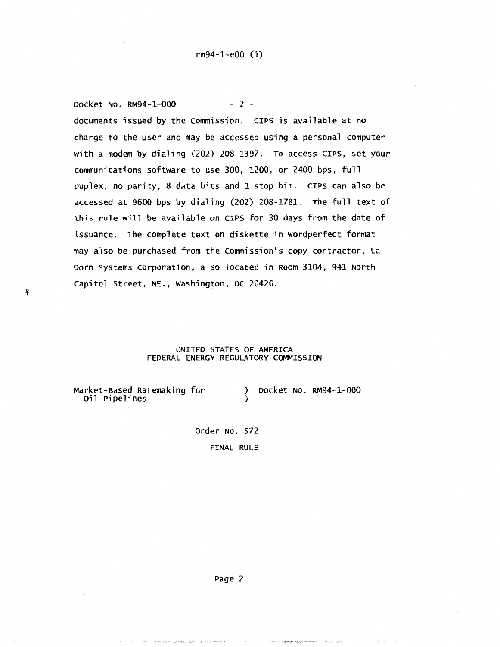Docket No. RM94-1-000 - 2 documents issued by the Commission. CIPS is available at no charge to the user and may be accessed using a personal computer with a modem by dialing (202) 208-1397. To access CIPS, set your communications software to use 300, 1200, or 2400 bps, full duplex, no parity, 8 data bits and 1 stop bit. CIPS can also be accessed at 9600 bps by dialing (202) 208-1781. The full text of this rule will be available on CIPS for 30 days from the date of issuance. The complete text on diskette in Wordperfect format may also be purchased from the commission's copy contractor, La Dorn systems Corporation, also located in Room 3104, 941 North capitol Street, NE., washington, DC 20426.

### UNITED STATES OF AMERICA FEDERAL ENERGY REGULATORY COMMISSION

)<br>)

Market-Based Ratemaking for 0il Pipelines

<sup>~</sup>

) Docket No. RM94-1-000

order No. 572 FINAL RULE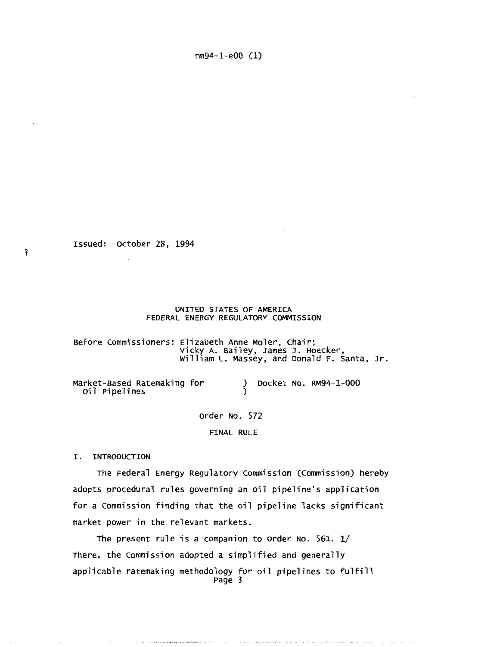Issued: october 28, 1994

¥-

#### UNITED STATES OF AMERICA FEDERAL ENERGY REGULATORY COMMISSION

Before commissioners: Elizabeth Anne Moler, chair; Vicky A. Bailey, James J. Hoecker, william L. Massey, and Donald F. santa, Jr.

Market-Based Ratemaking for oil Pipelines ) Docket NO. RM94-1-000 )

order No. 572

FINAL RULE

I. INTRODUCTION

The Federal Energy Regulatory Commission (Commission) hereby adopts procedural rules governing an oil pipeline's application for a commission finding that the oil pipeline lacks significant market power in the relevant markets.

The present rule is a companion to order No. 561. 1/ There, the commission adopted a simplified and generally applicable ratemaking methodology for oil pipelines to fulfill Page 3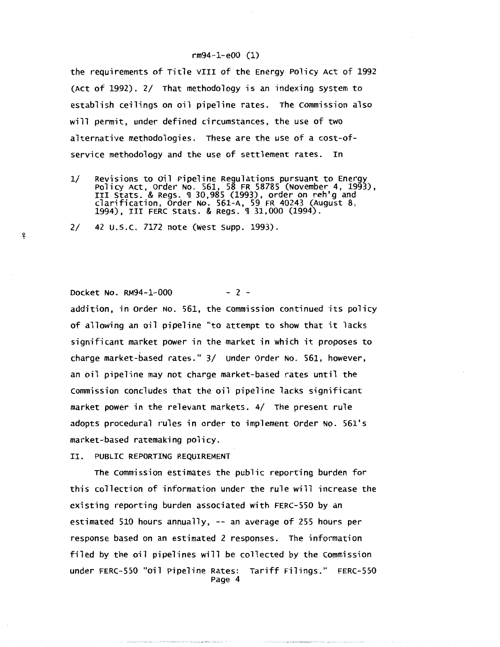the requirements of Title VIII of the Energy Policy Act of 1992 (Act of 1992). 2/ That methodology is an indexing system to establish ceilings on oil pipeline rates. The commission also will permit, under defined circumstances, the use of two alternative methodologies. These are the use of a cost-ofservice methodology and the use of settlement rates. In

1/ Revisions to Oil Pipeline Regulations pursuant to Energy<br>Policy Act, Order No. 561, 58 FR 58785 (November 4, 1993),<br>III Stats. & Regs. ¶ 30,985 (1993), order on reh'g and clarification, order No. 561-A, 59 FR 40243 (August 8, 1994), III FERC Stats. & Regs. ¶ 31,000 (1994).

2/ 42 u.s.c. 7172 note (West supp. 1993).

# Docket No. RM94-1-000 - 2 -

!f

addition, in order No. 561, the Commission continued its policy of allowing an oil pipeline "to attempt to show that it lacks significant market power in the market in which it proposes to charge market-based rates." 3/ under order No. 561, however, an oil pipeline may not charge market-based rates until the commission concludes that the oil pipeline lacks significant market power in the relevant markets. 4/ The present rule adopts procedural rules in order to implement order No. 561's market-based ratemaking policy.

II. PUBLIC REPORTING REQUIREMENT

The Commission estimates the public reporting burden for this collection of information under the rule will increase the existing reporting burden associated with FERC-550 by an estimated 510 hours annually, -- an average of 255 hours per response based on an estimated 2 responses. The information filed by the oil pipelines will be collected by the commission under FERC-550 "oil Pipeline Rates: Tariff Filings." FERC-550 Page 4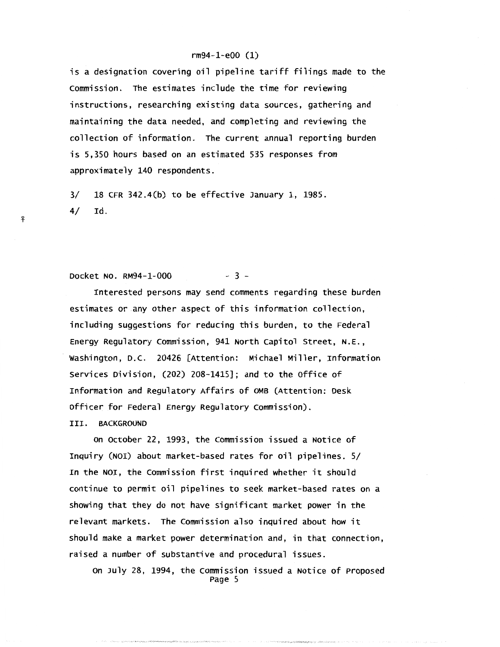is a designation covering oil pipeline tariff filings made to the Commission. The estimates include the time for reviewing instructions, researching existing data sources, gathering and maintaining the data needed, and completing and reviewing the collection of information. The current annual reporting burden is 5,350 hours based on an estimated 535 responses from approximately 140 respondents.

3/ 18 CFR 342.4(b) to be effective January 1, 1985. 4/ Id.

# Docket No. RM94-1-000 - 3 -

Interested persons may send comments regarding these burden estimates or any other aspect of this information collection, including suggestions for reducing this burden, to the Federal Energy Regulatory Commission, 941 North capitol Street, N.E., Washington, D.C. 20426 [Attention: Michael Miller, Information Services Division, (202) 208-1415]; and to the office of Information and Regulatory Affairs of OMB (Attention: Desk officer for Federal Energy Regulatory commission). III. BACKGROUND

on October 22, 1993, the Commission issued a Notice of Inquiry (NOI) about market-based rates for oil pipelines. 5/ In the NOI, the Commission first inquired whether it should continue to permit oil pipelines to seek market-based rates on a showing that they do not have significant market power in the relevant markets. The commission also inquired about how it should make a market power determination and, in that connection, raised a number of substantive and procedural issues.

on July 28, 1994, the commission issued a Notice of Proposed Page 5

ቶ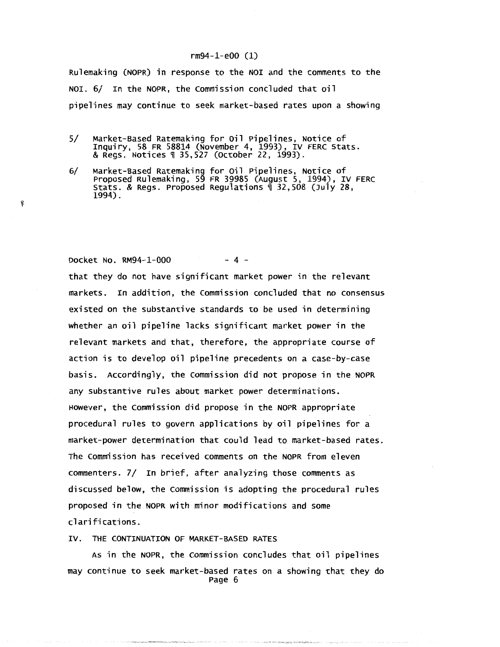Rulemaking (NOPR) in response to the NOI and the comments to the NOI. 6/ In the NOPR, the commission concluded that oil pipelines may continue to seek market-based rates upon a showing

5/ Market-Based Ratemaking for Oil Pipelines, Notice of Inquiry, 58 FR 58814 (November 4, 1993), IV FERC Stats. & Regs. Notices~ 35,527 (October 22, 1993).

<sup>~</sup>

6/ Market-Based Ratemaking for oil Pipelines, Notice of Proposed Rulemaking, 59 FR 39985 (August 5, 1994), IV FERC Stats. & Regs. Proposed Regulations ~ 32,508 (July 28, 1994).

Docket No. RM94-1-000 - 4 that they do not have significant market power in the relevant markets. In addition, the commission concluded that no consensus existed on the substantive standards to be used in determining whether an oil pipeline lacks significant market power in the relevant markets and that, therefore, the appropriate course of action is to develop oil pipeline precedents on a case-by-case basis. Accordingly, the commission did not propose in the NOPR any substantive rules about market power determinations. However, the commission did propose in the NOPR appropriate procedural rules to govern applications by oil pipelines for a market-power determination that could lead to market-based rates. The commission has received comments on the NOPR from eleven commenters. 7/ In brief, after analyzing those comments as discussed below, the Commission is adopting the procedural rules proposed in the NOPR with minor modifications and some clarifications.

IV. THE CONTINUATION OF MARKET-BASED RATES

As in the NOPR, the commission concludes that oil pipelines may continue to seek market-based rates on a showing that they do Page 6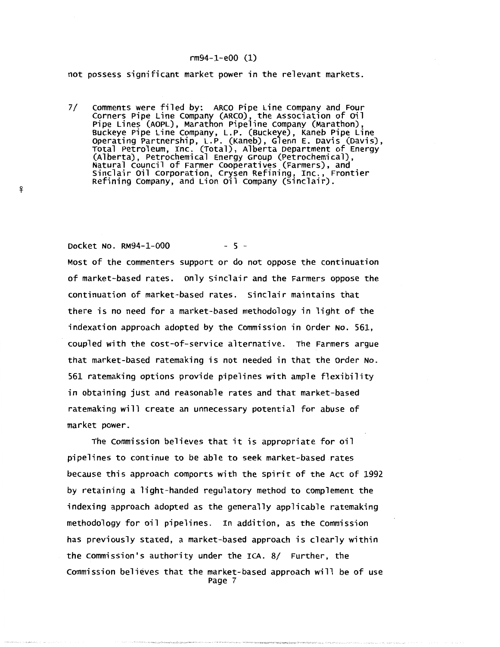not possess significant market power in the relevant markets.

7/ comments were filed by: ARCO Pipe Line company and Four corners Pipe Line company (ARCO), the Association of oil Pipe Lines (AOPL), Marathon Pipeline Company (Marathon),<br>Buckeye Pipe Line Company, L.P. (Buckeye), Kaneb Pipe Line Operating Partnership, L.P. (Kaneb), Glenn E. Davis (Davis),<br>Total Petroleum, Inc. (Total), Alberta Department of Energy<br>(Alberta), Petrochemical Energy Group (Petrochemical),<br>Natural Council of Farmer Cooperatives (Farmer sinclair oil corporation, crysen Refining, Inc., Frontier Refining company, and Lion oil company (Sinclair) .

Docket No. RM94-1-000 - 5 -

.!f

Most of the commenters support or do not oppose the continuation of market-based rates. only sinclair and the Farmers oppose the continuation of market-based rates. sinclair maintains that there is no need for a market-based methodology in light of the indexation approach adopted by the commission in order No. 561, coupled with the cost-of-service alternative. The Farmers argue that market-based ratemaking is not needed in that the order No. 561 ratemaking options provide pipelines with ample flexibility in obtaining just and reasonable rates and that market-based ratemaking will create an unnecessary potential for abuse of market power.

The commission believes that it is appropriate for oil pipelines to continue to be able to seek market-based rates because this approach comports with the spirit of the Act of 1992 by retaining a light-handed regulatory method to complement the indexing approach adopted as the generally applicable ratemaking methodology for oil pipelines. In addition, as the commission has previously stated, a market-based approach is clearly within the commission's authority under the ICA. 8/ Further, the Commission believes that the market-based approach will be of use Page 7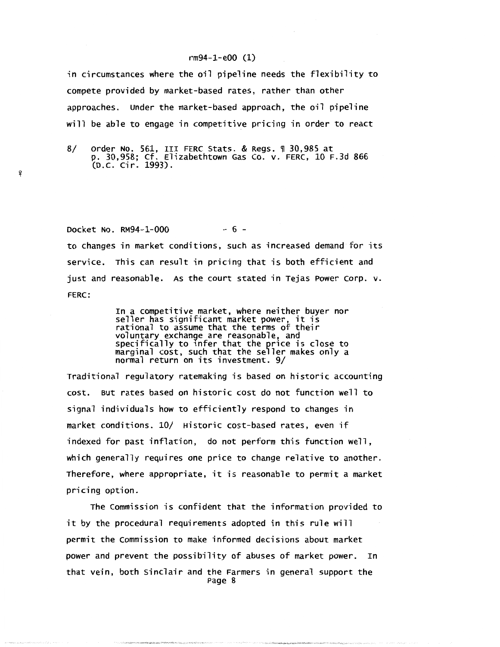in circumstances where the oil pipeline needs the flexibility to compete provided by market-based rates, rather than other approaches. under the market-based approach, the oil pipeline will be able to engage in competitive pricing in order to react

<sup>~</sup>

8/ Order No. 561, III FERC Stats. & Regs. 1 30,985 at p. 30,958; cf. Elizabethtown Gas co. v. FERC, 10 F.3d 866 (D.C. Cir. 1993).

Docket No. RM94-1-000 - 6 to changes in market conditions, such as increased demand for its service. This can result in pricing that is both efficient and just and reasonable. As the court stated in Tejas Power corp. v. FERC:

> In a competitive market, where neither buyer nor seller has significant market power, it is rational to assume that the terms of their voluntary exchange are reasonable, and specifically to 1nfer that the price is close to marginal cost, such that the seller makes only a normal return on its investment. 9/

Traditional regulatory ratemaking is based on historic accounting cost. But rates based on historic cost do not function well to signal individuals how to efficiently respond to changes in market conditions. 10/ Historic cost-based rates, even if indexed for past inflation, do not perform this function well, which generally requires one price to change relative to another. Therefore, where appropriate, it is reasonable to permit a market pricing option.

The commission is confident that the information provided to it by the procedural requirements adopted in this rule will permit the Commission to make informed decisions about market power and prevent the possibility of abuses of market power. In that vein, both sinclair and the Farmers in general support the Page 8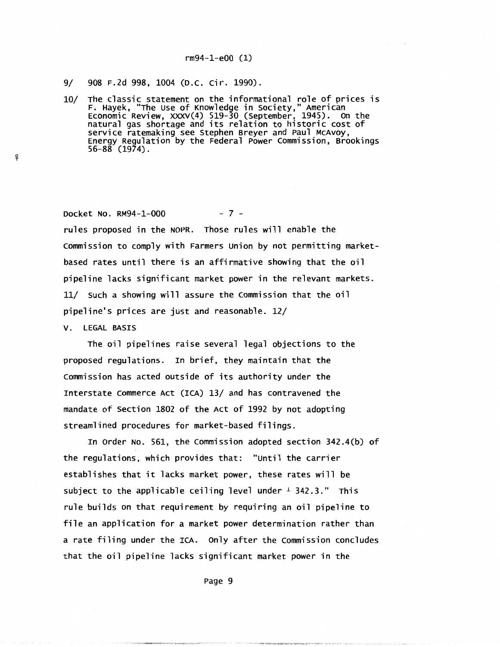#### 9/ 908 F.2d 998, 1004 (D.C. Cir. 1990).

10/ The classic statement on the informational role of prices is F. Hayek, "The use of Knowledge in society," American Economic Review, xxxv(4) 519-30 (September, 1945). on the natural gas shortage and its relation to historic cost of service ratemaking see Stephen Breyer and Paul McAvoy, Energy Regulation by the Federal Power commission, Brookings 56-88 (1974).

Docket No. RM94-1-000 - 7 -

rules proposed in the NOPR. Those rules will enable the commission to comply with Farmers union by not permitting marketbased rates until there is an affirmative showing that the oil pipeline lacks significant market power in the relevant markets. 11/ such a showing will assure the commission that the oil pipeline's prices are just and reasonable. 12/

V. LEGAL BASIS

!j'-

The oil pipelines raise several legal objections to the proposed regulations. In brief, they maintain that the commission has acted outside of its authority under the Interstate commerce Act (ICA) 13/ and has contravened the mandate of section 1802 of the Act of 1992 by not adopting streamlined procedures for market-based filings.

In order No. 561, the commission adopted section 342.4(b) of the regulations, which provides that: "until the carrier establishes that it lacks market power, these rates will be subject to the applicable ceiling level under  $\pm$  342.3." This rule builds on that requirement by requiring an oil pipeline to file an application for a market power determination rather than a rate filing under the ICA. only after the commission concludes that the oil pipeline lacks significant market power in the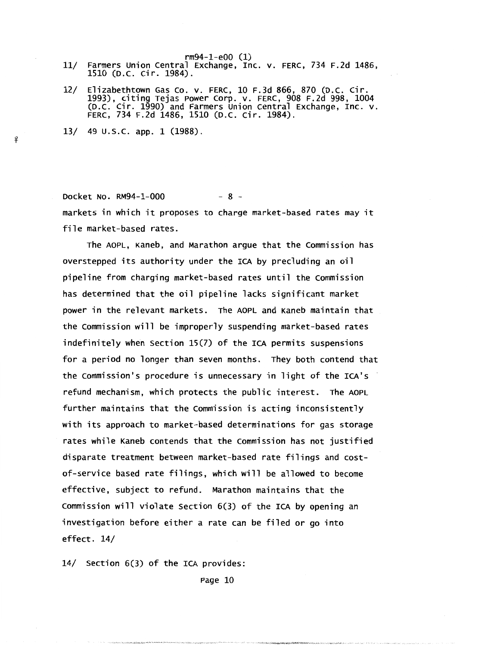- rm94-1-e00 (1) 11/ Farmers Union central Exchange, Inc. v. FERC, 734 F.2d 1486, 1510 (D.C. Cir. 1984).
- 12/ Elizabethtown Gas Co. v. FERC, 10 F.3d 866, 870 (D.C. Cir. 1993), citing Tejas Power Corp. v. FERC, 908 F.2d 998, 1004 (D.C. Cir. 1990) and Farmers union central Exchange, Inc. v. FERC, 734 F.2d 1486, 1510 (D.C. Cir. 1984).
- 13/ 49 u.s.c. app. 1 (1988).

'f

Docket No. RM94-1-000 - 8 markets in which it proposes to charge market-based rates may it file market-based rates.

The AOPL, Kaneb, and Marathon argue that the commission has overstepped its authority under the ICA by precluding an oil pipeline from charging market-based rates until the commission has determined that the oil pipeline lacks significant market power in the relevant markets. The AOPL and Kaneb maintain that the commission will be improperly suspending market-based rates indefinitely when section 15(7) of the ICA permits suspensions for a period no longer than seven months. They both contend that the commission's procedure is unnecessary in light of the ICA's refund mechanism, which protects the public interest. The AOPL further maintains that the Commission is acting inconsistently with its approach to market-based determinations for gas storage rates while Kaneb contends that the commission has not justified disparate treatment between market-based rate filings and costof-service based rate filings, which will be allowed to become effective, subject to refund. Marathon maintains that the commission will violate section 6(3) of the ICA by opening an investigation before either a rate can be filed or go into effect. 14/

14/ section 6(3) of the ICA provides: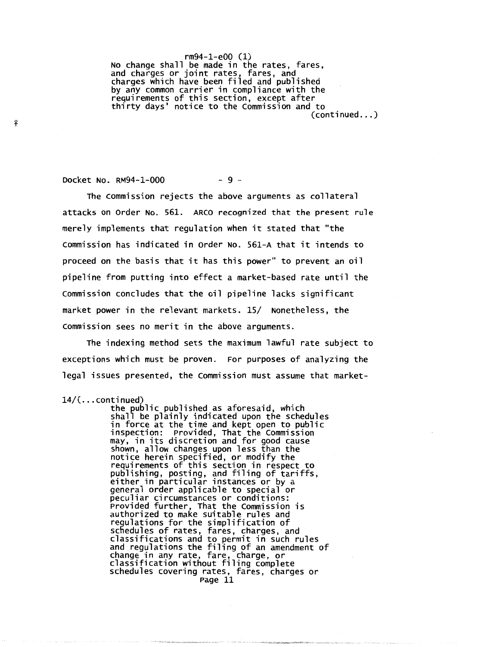rm94-1-e00 (1) No change shall be made in the rates, fares, and charges or joint rates, fares, and charges which have been filed and published<br>by any common carrier in compliance with the requirements of this section, except after thirty days' notice to the commission and to (continued ... )

Docket No. RM94-1-000 - 9 -

The commission rejects the above arguments as collateral attacks on order No. 561. ARCO recognized that the present rule merely implements that regulation when it stated that "the commission has indicated in order No. 561-A that it intends to proceed on the basis that it has this power" to prevent an oil pipeline from putting into effect a market-based rate until the commission concludes that the oil pipeline lacks significant market power in the relevant markets. 15/ Nonetheless, the commission sees no merit in the above arguments.

The indexing method sets the maximum lawful rate subject to exceptions which must be proven. For purposes of analyzing the legal issues presented, the commission must assume that market-

14/( ... continued) the public published as aforesaid, which shall be plainly indicated upon the schedules in force at the time and kept open to public<br>inspection: Provided, That the Commission may, in its discretion and for good cause shown, allow changes upon less than the notice herein specified, or modify the requirements of this section in respect to publishing, posting, and filing of tariffs, either in particular instances or by a general order applicable to special or peculiar circumstances or conditions: Provided further, That the Commission is authorized to make suitable rules and regulations for the simplification of schedules of rates, fares, charges, and classifications and to permit in such rules and regulations the filing of an amendment of change in any rate, fare, charge, or classification without filing complete schedules covering rates, fares, charges or schedules covering rates, fares, charges or<br>Page 11

<sup>~</sup>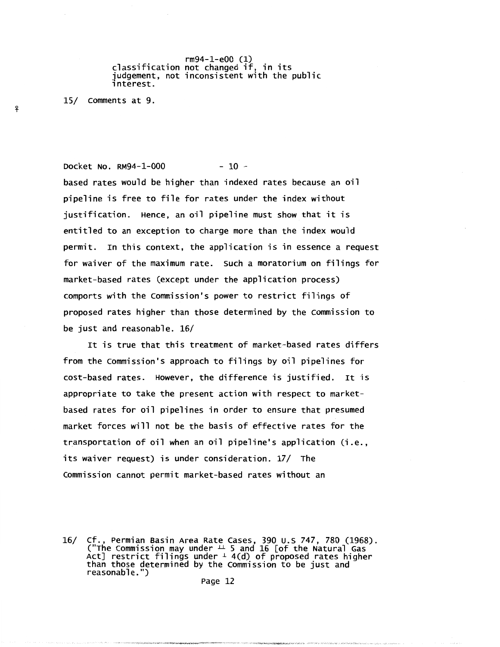rm94-1-e00 (1) classification not changed if, in its judgement, not inconsistent with the public<br>interest.

15/ comments at 9.

*-'?* 

# Docket No. RM94-1-000 - 10 -

based rates would be higher than indexed rates because an oil pipeline is free to file for rates under the index without justification. Hence, an oil pipeline must show that it is entitled to an exception to charge more than the index would permit. In this context, the application is in essence a request for waiver of the maximum rate. such a moratorium on filings for market-based rates (except under the application process) comports with the commission's power to restrict filings of proposed rates higher than those determined by the Commission to be just and reasonable. 16/

It is true that this treatment of market-based rates differs from the Commission's approach to filings by oil pipelines for cost-based rates. However, the difference is justified. It is appropriate to take the present action with respect to marketbased rates for oil pipelines in order to ensure that presumed market forces will not be the basis of effective rates for the transportation of oil when an oil pipeline's application (i.e., its waiver request) is under consideration. 17/ The commission cannot permit market-based rates without an

<sup>16/</sup> cf., Permian Basin Area Rate Cases, 390 U.S 747, 780 (1968).<br>("The Commission may under  $\perp$  5 and 16 [of the Natural Gas Act] restrict filings under  $\pm$  4(d) of proposed rates higher<br>than those determined by the Commission to be just and than those determined by the Commission to be just and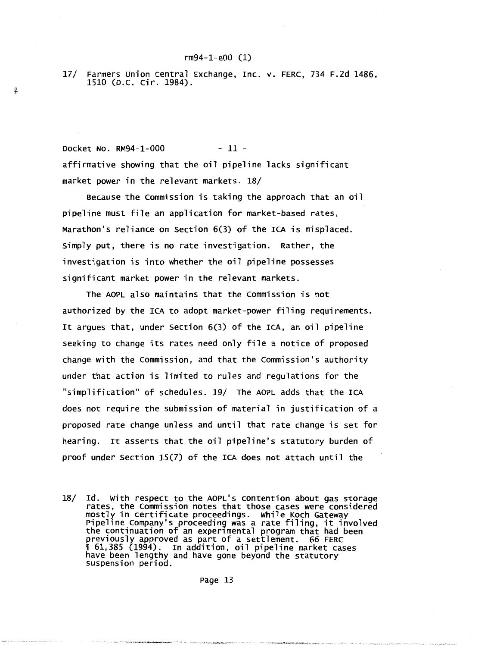17/ Farmers union central Exchange, Inc. v. FERC, 734 F.2d 1486, 1510 (D.C. Cir. 1984) .

Docket No. RM94-1-000 - 11 affirmative showing that the oil pipeline lacks significant market power in the relevant markets. 18/

.!f

Because the commission is taking the approach that an oil pipeline must file an application for market-based rates, Marathon's reliance on section 6(3) of the ICA is misplaced. Simply put, there is no rate investigation. Rather, the investigation is into whether the oil pipeline possesses significant market power in the relevant markets.

The AOPL also maintains that the commission is not authorized by the ICA to adopt market-power filing requirements. It argues that, under section 6(3) of the ICA, an oil pipeline seeking to change its rates need only file a notice of proposed change with the Commission, and that the commission's authority under that action is limited to rules and regulations for the "simplification" of schedules. 19/ The AOPL adds that the ICA does not require the submission of material in justification of a proposed rate change unless and until that rate change is set for hearing. It asserts that the oil pipeline's statutory burden of proof under section 15(7) of the ICA does not attach until the

<sup>18/</sup> Id. With respect to the AOPL's contention about gas storage rates, the commission notes that those cases were considered mostly in certificate proceedings. While Koch Gateway<br>Pipeline Company's proceeding was a rate filing, it involved the continuation of an exper1mental program that had been previously approved as part of a settlement. 66 FERC  $\textcolor{red}{\parallel}$  61,385 (1994). In addition, oil pipeline market cases have been lengthy and have gone beyond the statutory<br>suspension period.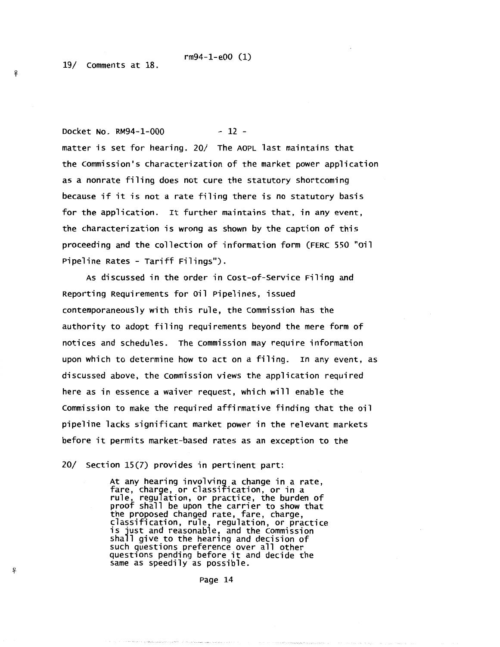rm94-1-e00 (1) 19/ comments at 18 .

Docket No. RM94-1-000 - 12 matter is set for hearing. 20/ The AOPL last maintains that the commission's characterization of the market power application as a nonrate filing does not cure the statutory shortcoming because if it is not a rate filing there is no statutory basis for the application. It further maintains that, in any event, the characterization is wrong as shown by the caption of this proceeding and the collection of information form (FERC 550 "oil Pipeline Rates - Tariff Filings").

As discussed in the order in cost-of-service Filing and Reporting Requirements for oil Pipelines, issued contemporaneously with this rule, the commission has the authority to adopt filing requirements beyond the mere form of notices and schedules. The commission may require information upon which to determine how to act on a filing. In any event, as discussed above, the commission views the application required here as in essence a waiver request, which will enable the commission to make the required affirmative finding that the oil pipeline lacks significant market power in the relevant markets before it permits market-based rates as an exception to the

20/ Section 15(7) provides in pertinent part:

At any hearing involving a change in a rate, fare, charge, or classification, or in a rule, regulation, or practice, the burden of proof shall be upon the carrier to show that the proposed changed rate, fare, charge,<br>classification, rule, regulation, or practice is just and reasonable, and the Commission<br>shall give to the hearing and decision of such questions preference over all other questions pending before it and decide the same as speedily as possible .

Page 14

 $\mathbf{P}$ 

.!f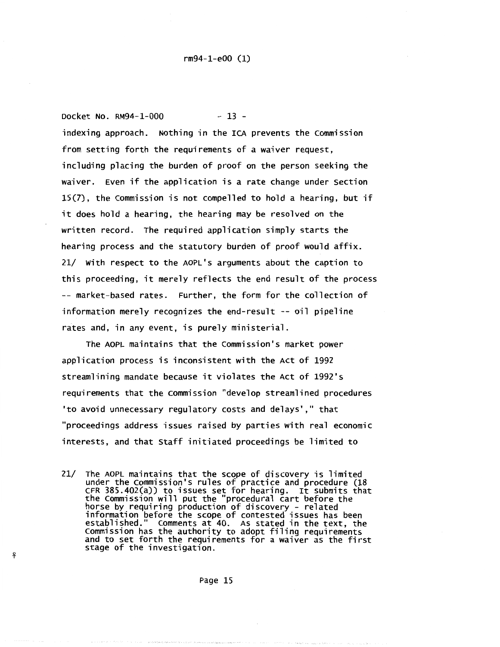Docket No. RM94-1-000 - 13 indexing approach. Nothing in the ICA prevents the commission from setting forth the requirements of a waiver request, including placing the burden of proof on the person seeking the waiver. Even if the application is a rate change under section 15(7), the commission is not compelled to hold a hearing, but if it does hold a hearing, the hearing may be resolved on the written record. The required application simply starts the hearing process and the statutory burden of proof would affix. 21/ With respect to the AOPL's arguments about the caption to this proceeding, it merely reflects the end result of the process -- market-based rates. Further, the form for the collection of information merely recognizes the end-result -- oil pipeline rates and, in any event, is purely ministerial.

The AOPL maintains that the commission's market power application process is inconsistent with the Act of 1992 streamlining mandate because it violates the Act of 1992's requirements that the commission "develop streamlined procedures 'to avoid unnecessary regulatory costs and delays'," that "proceedings address issues raised by parties with real economic interests, and that staff initiated proceedings be limited to

21/ The AOPL maintains that the scope of discovery is limited under the Commission's rules of practice and procedure (18<br>CFR 385.402(a)) to issues set for hearing. It submits that the commission will put the "procedural cart before the horse by requiring production of discovery - related information before the scope of contested issues has been established." comments at 40. As stated in the text, the established." Comments at 40. As stated in the text, the<br>Commission has the authority to adopt filing requirements<br>and to set forth the requirements for a waiver as the first stage of the investigation.

Page 15

<sup>~</sup>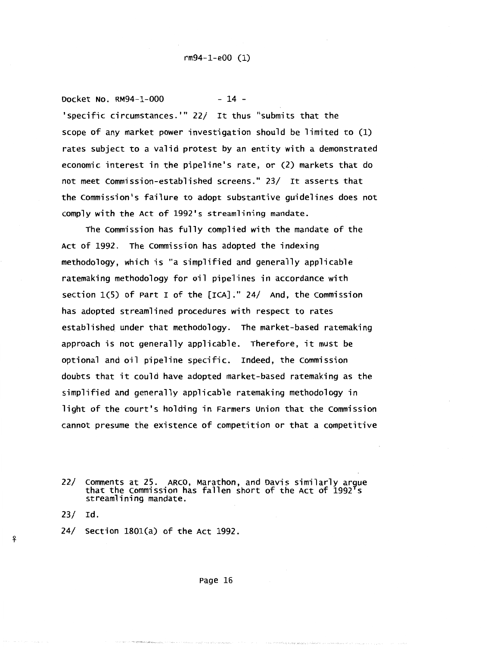Docket No. RM94-1-000 - 14 -'specific circumstances.''' 22/ It thus "submits that the scope of any market power investigation should be limited to (1) rates subject to a valid protest by an entity with a demonstrated economic interest in the pipeline's rate, or (2) markets that do not meet commission-established screens." 23/ It asserts that the commission's failure to adopt substantive guidelines does not comply with the Act of 1992's streamlining mandate.

The commission has fully complied with the mandate of the Act of 1992. The commission has adopted the indexing methodology, which is ''a simplified and generally applicable ratemaking methodology for oil pipelines in accordance with section 1(5) of Part I of the [ICA]." 24/ And, the commission has adopted streamlined procedures with respect to rates established under that methodology. The market-based ratemaking approach is not generally applicable. Therefore, it must be optional and oil pipeline specific. Indeed, the commission doubts that it could have adopted market-based ratemaking as the simplified and generally applicable ratemaking methodology in light of the court's holding in Farmers union that the commission cannot presume the existence of competition or that a competitive

23/ Id.

.

<sup>22/</sup> comments at 25. ARCO, Marathon, and Davis similarly ar9ue that the commission has fallen short of the Act of 1992 s streamlining mandate.

<sup>24/</sup> section 1801(a) of the Act 1992.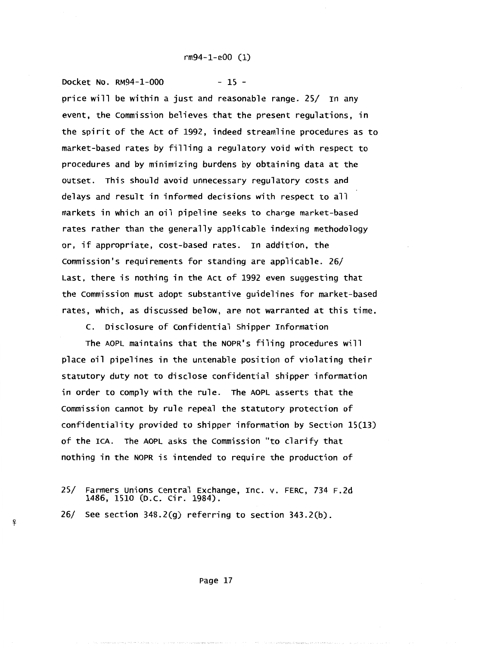Docket No. RM94-1-000 - 15 price will be within a just and reasonable range. 25/ In any event, the commission believes that the present regulations, in the spirit of the Act of 1992, indeed streamline procedures as to market-based rates by filling a regulatory void with respect to procedures and by minimizing burdens by obtaining data at the outset. This should avoid unnecessary regulatory costs and delays and result in informed decisions with respect to all markets in which an oil pipeline seeks to charge market-based rates rather than the generally applicable indexing methodology or, if appropriate, cost-based rates. In addition, the commission's requirements for standing are applicable. 26/ Last, there is nothing in the Act of 1992 even suggesting that the commission must adopt substantive guidelines for market-based rates, which, as discussed below, are not warranted at this time.

c. Disclosure of Confidential shipper Information

The AOPL maintains that the NOPR's filing procedures will place oil pipelines in the untenable position of violating their statutory duty not to disclose confidential shipper information in order to comply with the rule. The AOPL asserts that the commission cannot by rule repeal the statutory protection of confidentiality provided to shipper information by section 15(13) of the ICA. The AOPL asks the commission "to clarify that nothing in the NOPR is intended to require the production of

-'f

<sup>25/</sup> Farmers unions central Exchange, Inc. v. FERC, 734 F.2d 1486, 1510 (D.c. cir. 1984).

<sup>26/</sup> see section 348.2(g) referring to section 343.2(b).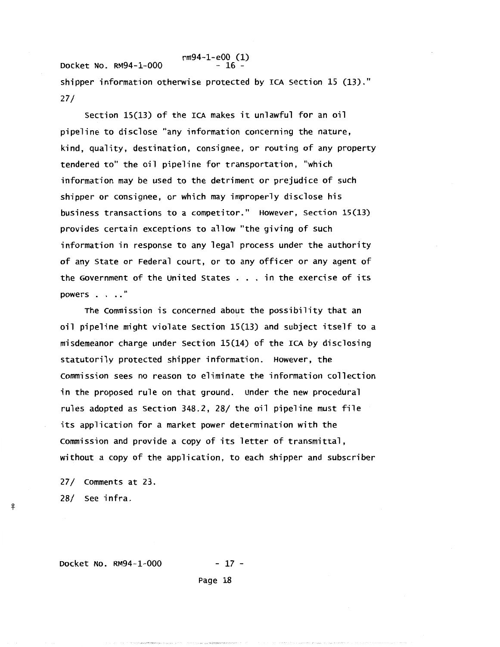Docket No. RM94-1-000 rm94-1-e00 (1) - 16 shipper information otherwise protected by ICA section 15 (13)." 27/

section 15(13) of the ICA makes it unlawful for an oil pipeline to disclose "any information concerning the nature, kind, quality, destination, consignee, or routing of any property tendered to" the oil pipeline for transportation, "which information may be used to the detriment or prejudice of such shipper or consignee, or which may improperly disclose his business transactions to a competitor." However, section 15(13) provides certain exceptions to allow "the giving of such information in response to any legal process under the authority of any State or Federal court, or to any officer or any agent of the Government of the united States ... in the exercise of its powers  $\ldots$  "

The commission is concerned about the possibility that an oil pipeline might violate section 15(13) and subject itself to a misdemeanor charge under section 15(14) of the ICA by disclosing statutorily protected shipper information. However, the commission sees no reason to eliminate the information collection in the proposed rule on that ground. under the new procedural rules adopted as section 348.2, 28/ the oil pipeline must file its application for a market power determination with the commission and provide a copy of its letter of transmittal, without a copy of the application, to each shipper and subscriber

27/ comments at 23. 28/ see infra.

-'f

Docket No. RM94-1-000 - 17 -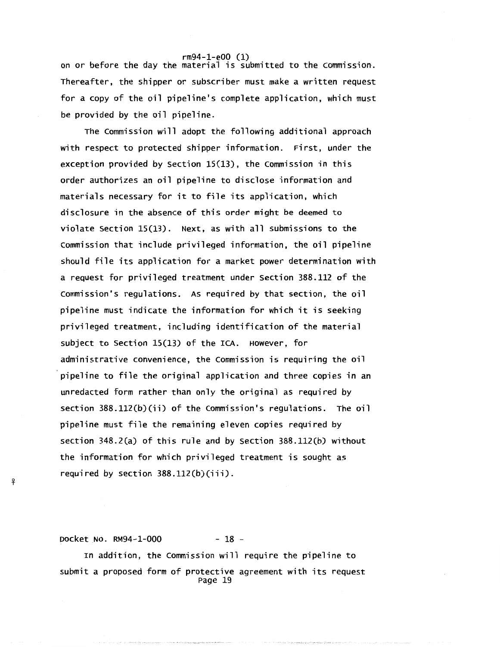on or before the day the material is submitted to the commission. Thereafter, the shipper or subscriber must make a written request for a copy of the oil pipeline's complete application, which must be provided by the oil pipeline.

The commission will adopt the following additional approach with respect to protected shipper information. First, under the exception provided by section 15(13), the commission in this order authorizes an oil pipeline to disclose information and materials necessary for it to file its application, which disclosure in the absence of this order might be deemed to violate section 15(13). Next, as with all submissions to the commission that include privileged information, the oil pipeline should file its application for a market power determination with a request for privileged treatment under Section 388.112 of the commission's regulations. As required by that section, the oil pipeline must indicate the information for which it is seeking privileged treatment, including identification of the material subject to section 15(13) of the ICA. However, for administrative convenience, the commission is requiring the oil pipeline to file the original application and three copies in an unredacted form rather than only the original as required by section 388.112(b)(ii) of the commission's regulations. The oil pipeline must file the remaining eleven copies required by section 348.2(a) of this rule and by Section 388.112(b) without the information for which privileged treatment is sought as required by section 388.112(b)(iii).

Docket No. RM94-1-000 - 18 -

-'f

In addition, the commission will require the pipeline to submit a proposed form of protective agreement with its request Page 19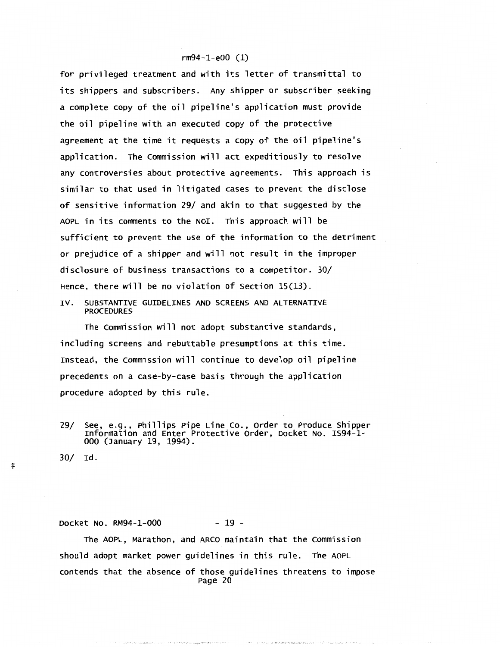for privileged treatment and with its letter of transmittal to its shippers and subscribers. Any shipper or subscriber seeking a complete copy of the oil pipeline's application must provide the oil pipeline with an executed copy of the protective agreement at the time it requests a copy of the oil pipeline's application. The commission will act expeditiously to resolve any controversies about protective agreements. This approach is similar to that used in litigated cases to prevent the disclose of sensitive information 29/ and akin to that suggested by the AOPL in its comments to the NOI. This approach will be sufficient to prevent the use of the information to the detriment or prejudice of a shipper and will not result in the improper disclosure of business transactions to a competitor. 30/ Hence, there will be no violation of section 15(13).

IV. SUBSTANTIVE GUIDELINES AND SCREENS AND ALTERNATIVE PROCEDURES

The commission will not adopt substantive standards, including screens and rebuttable presumptions at this time. Instead, the commission will continue to develop oil pipeline precedents on a case-by-case basis through the application procedure adopted by this rule.

29/ see, e.g., Phillips Pipe Line co., order to Produce shipper Information and Enter Protective order, Docket No. IS94-1- 000 (January 19, 1994).

30/ rd.

*-'?* 

Docket No. RM94-1-000 - 19 -

The AOPL, Marathon, and ARCO maintain that the Commission should adopt market power guidelines in this rule. The AOPL contends that the absence of those guidelines threatens to impose Page 20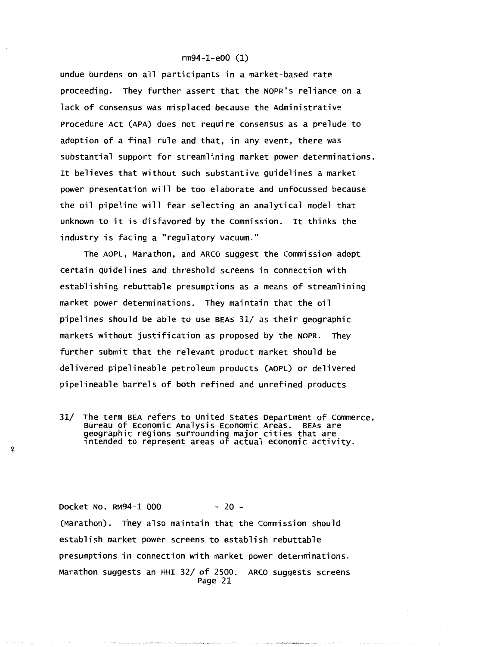undue burdens on all participants in a market-based rate proceeding. They further assert that the NOPR's reliance on a lack of consensus was misplaced because the Administrative Procedure Act (APA) does not require consensus as a prelude to adoption of a final rule and that, in any event, there was substantial support for streamlining market power determinations. It believes that without such substantive guidelines a market power presentation will be too elaborate and unfocussed because the oil pipeline will fear selecting an analytical model that unknown to it is disfavored by the commission. It thinks the industry is facing a "regulatory vacuum."

The AOPL, Marathon, and ARCO suggest the commission adopt certain guidelines and threshold screens in connection with establishing rebuttable presumptions as a means of streamlining market power determinations. They maintain that the oil pipelines should be able to use BEAs 31/ as their geographic markets without justification as proposed by the NOPR. They further submit that the relevant product market should be delivered pipelineable petroleum products (AOPL) or delivered pipelineable barrels of both refined and unrefined products

31/ The term BEA refers to united States Department of Commerce, Bureau of Economic Analysis Economic Areas. BEAs are 9eographic regions surrounding major cities that are 1ntended to represent areas of actual economic activity.

-'?

Docket No. RM94-1-000 - 20 -(Marathon). They also maintain that the commission should establish market power screens to establish rebuttable presumptions in connection with market power determinations. Marathon suggests an HHI 32/ of 2500. ARCO suggests screens Page 21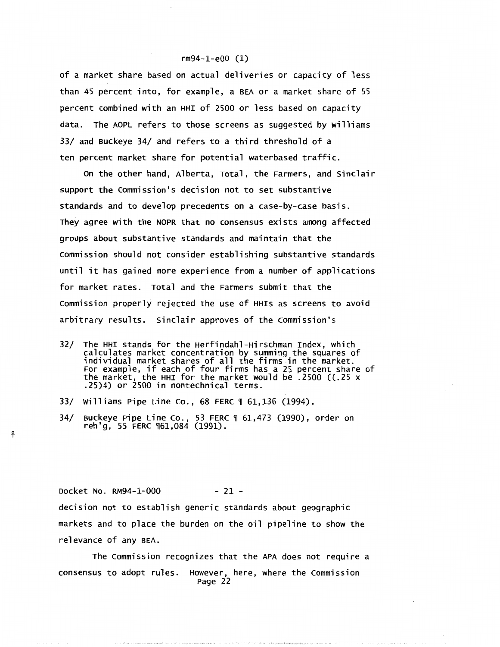of a market share based on actual deliveries or capacity of less than 45 percent into, for example, a BEA or a market share of 55 percent combined with an HHI of 2500 or less based on capacity data. The AOPL refers to those screens as suggested by Williams 33/ and Buckeye 34/ and refers to a third threshold of a ten percent market share for potential waterbased traffic.

on the other hand, Alberta, Total, the Farmers, and sinclair support the commission's decision not to set substantive standards and to develop precedents on a case-by-case basis. They agree with the NOPR that no consensus exists among affected groups about substantive standards and maintain that the commission should not consider establishing substantive standards until it has gained more experience from a number of applications for market rates. Total and the Farmers submit that the commission properly rejected the use of HHis as screens to avoid arbitrary results. Sinclair approves of the Commission's

- 32/ The HHI stands for the Herfindahl-Hirschman Index, which calculates market concentration by summing the squares of individual market shares of all the firms in the market. For example, if each of four firms has a 25 percent share of the market, the HHI for the market would be .2500 ((.25 x .25)4) or 2500 in nontechnical terms.
- 33/ Williams Pipe Line Co., 68 FERC 1 61,136 (1994).
- 34/ Buckeye Pipe Line co., 53 FERC ~ 61,473 (1990), order on reh'g, 55 FERC ~61,084 (1991).

Docket No.  $RM94-1-000$  - 21 decision not to establish generic standards about geographic markets and to place the burden on the oil pipeline to show the relevance of any BEA.

The Commission recognizes that the APA does not require a consensus to adopt rules. However, here, where the commission Page 22

<sup>~</sup>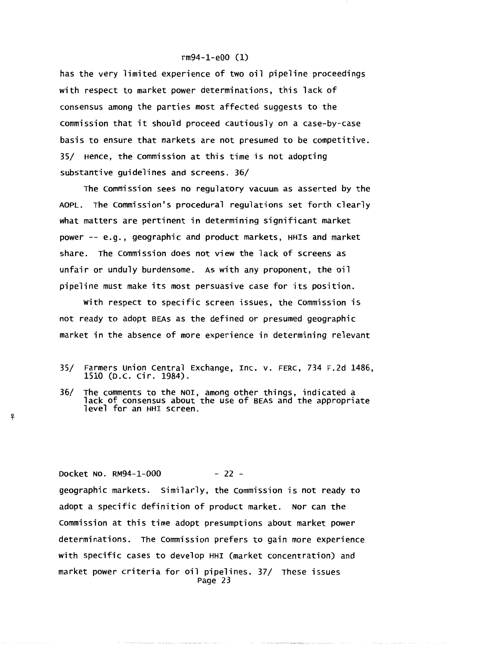has the very limited experience of two oil pipeline proceedings with respect to market power determinations, this lack of consensus among the parties most affected suggests to the commission that it should proceed cautiously on a case-by-case basis to ensure that markets are not presumed to be competitive. 35/ Hence, the commission at this time is not adopting substantive guidelines and screens. 36/

The Commission sees no regulatory vacuum as asserted by the AOPL. The commission's procedural regulations set forth clearly what matters are pertinent in determining significant market power-- e.g., geographic and product markets, HHis and market share. The Commission does not view the lack of screens as unfair or unduly burdensome. As with any proponent, the oil pipeline must make its most persuasive case for its position.

with respect to specific screen issues, the commission is not ready to adopt BEAs as the defined or presumed geographic market in the absence of more experience in determining relevant

- 35/ Farmers union central Exchange, Inc. v. FERC, 734 F.2d 1486, 1510 (D.C. Cir. 1984).
- 36/ The comments to the NOI, among other things, indicated a lack of consensus about the use of BEAs and the appropriate<br>level for an HHI screen.

*-'?* 

Docket No. RM94-1-000 - 22 geographic markets. similarly, the commission is not ready to adopt a specific definition of product market. Nor can the commission at this time adopt presumptions about market power determinations. The commission prefers to gain more experience with specific cases to develop HHI (market concentration) and market power criteria for oil pipelines. 37/ These issues Page 23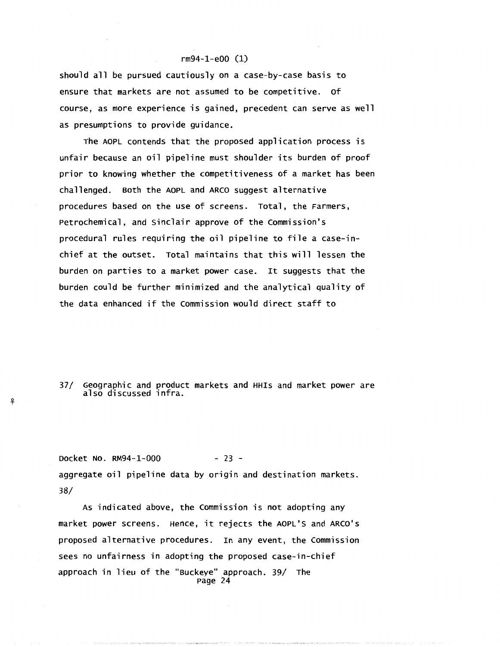should all be pursued cautiously on a case-by-case basis to ensure that markets are not assumed to be competitive. of course, as more experience is gained, precedent can serve as well as presumptions to provide guidance.

The AOPL contends that the proposed application process is unfair because an oil pipeline must shoulder its burden of proof prior to knowing whether the competitiveness of a market has been challenged. Both the AOPL and ARCO suggest alternative procedures based on the use of screens. Total, the Farmers, Petrochemical, and Sinclair approve of the commission's procedural rules requiring the oil pipeline to file a case-inchief at the outset. Total maintains that this will lessen the burden on parties to a market power case. It suggests that the burden could be further minimized and the analytical quality of the data enhanced if the commission would direct staff to

37/ Geographic and product markets and HHis and market power are also discussed infra.

*!?* 

Docket No. RM94-1-000 - 23 aggregate oil pipeline data by origin and destination markets. 38/

As indicated above, the Commission is not adopting any market power screens. Hence, it rejects the AOPL'S and ARCO's proposed alternative procedures. In any event, the commission sees no unfairness in adopting the proposed case-in-chief approach in lieu of the "Buckeye" approach. 39/ The Page 24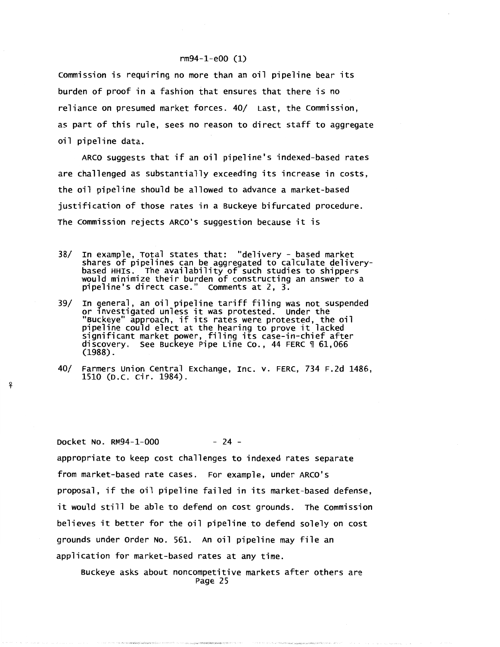Commission is requiring no more than an oil pipeline bear its burden of proof in a fashion that ensures that there is no reliance on presumed market forces. 40/ Last, the Commission, as part of this rule, sees no reason to direct staff to aggregate oil pipeline data.

ARCO suggests that if an oil pipeline's indexed-based rates are challenged as substantially exceeding its increase in costs, the oil pipeline should be allowed to advance a market-based justification of those rates in a Buckeye bifurcated procedure. The commission rejects ARCO's suggestion because it is

- 38/ In example, Total states that: "delivery based market shares of pipelines can be aggregated to calculate delivery-<br>based HHIs. The availability of such studies to shippers<br>would minimize their burden of constructing an answer to a pipeline's direct case." comments at 2, 3.
- 39/ In general, an oil pipeline tariff filing was not suspended or 1nvestigated unless it was protested. under the "Buckeye" approach, if its rates were protested, the oil pipeline could elect at the hearing to prove it lacked significant market power, filing its case-in-chief after discovery. see Buckeye Pipe Line co., 44 FERC ~ 61,066 (1988).
- 40/ Farmers union central Exchange, Inc. v. FERC, 734 F.2d 1486, 1510 (D.C. Cir. 1984).

Docket No. RM94-1-000 - 24 -

 $\overline{\mathbf{f}}$ 

appropriate to keep cost challenges to indexed rates separate from market-based rate cases. For example, under ARCO's proposal, if the oil pipeline failed in its market-based defense, it would still be able to defend on cost grounds. The commission believes it better for the oil pipeline to defend solely on cost grounds under order No. 561. An oil pipeline may file an application for market-based rates at any time.

Buckeye asks about noncompetitive markets after others are Page 25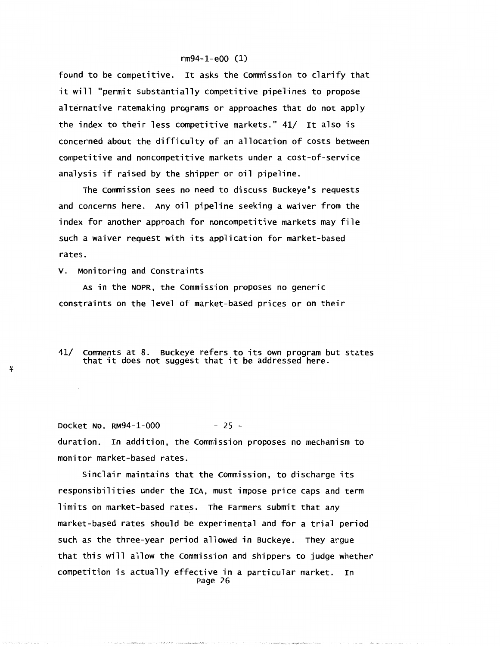found to be competitive. It asks the commission to clarify that it will "permit substantially competitive pipelines to propose alternative ratemaking programs or approaches that do not apply the index to their less competitive markets." 41/ It also is concerned about the difficulty of an allocation of costs between competitive and noncompetitive markets under a cost-of-service analysis if raised by the shipper or oil pipeline.

The Commission sees no need to discuss Buckeye's requests and concerns here. Any oil pipeline seeking a waiver from the index for another approach for noncompetitive markets may file such a waiver request with its application for market-based rates.

v. Monitoring and constraints

<sup>~</sup>

As in the NOPR, the commission proposes no generic constraints on the level of market-based prices or on their

41/ Comments at 8. Buckeye refers to its own program but states that it does not suggest that it be addressed here.

Docket No. RM94-1-000 - 25 duration. In addition, the commission proposes no mechanism to monitor market-based rates.

Sinclair maintains that the commission, to discharge its responsibilities under the ICA, must impose price caps and term limits on market-based rates. The Farmers submit that any market-based rates should be experimental and for a trial period such as the three-year period allowed in Buckeye. They argue that this will allow the commission and shippers to judge whether competition is actually effective in a particular market. In Page 26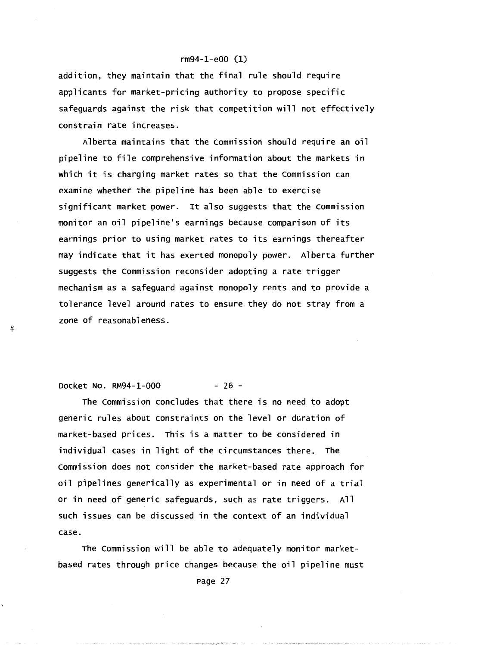addition, they maintain that the final rule should require applicants for market-pricing authority to propose specific safeguards against the risk that competition will not effectively constrain rate increases.

Alberta maintains that the commission should require an oil pipeline to file comprehensive information about the markets in which it is charging market rates so that the Commission can examine whether the pipeline has been able to exercise significant market power. It also suggests that the Commission monitor an oil pipeline's earnings because comparison of its earnings prior to using market rates to its earnings thereafter may indicate that it has exerted monopoly power. Alberta further suggests the commission reconsider adopting a rate trigger mechanism as a safeguard against monopoly rents and to provide a tolerance level around rates to ensure they do not stray from a zone of reasonableness.

Docket No. RM94-1-000 - 26 -

ቶ

The Commission concludes that there is no need to adopt generic rules about constraints on the level or duration of market-based prices. This is a matter to be considered in individual cases in light of the circumstances there. The commission does not consider the market-based rate approach for oil pipelines generically as experimental or in need of a trial or in need of generic safeguards, such as rate triggers. All such issues can be discussed in the context of an individual case.

The commission will be able to adequately monitor marketbased rates through price changes because the oil pipeline must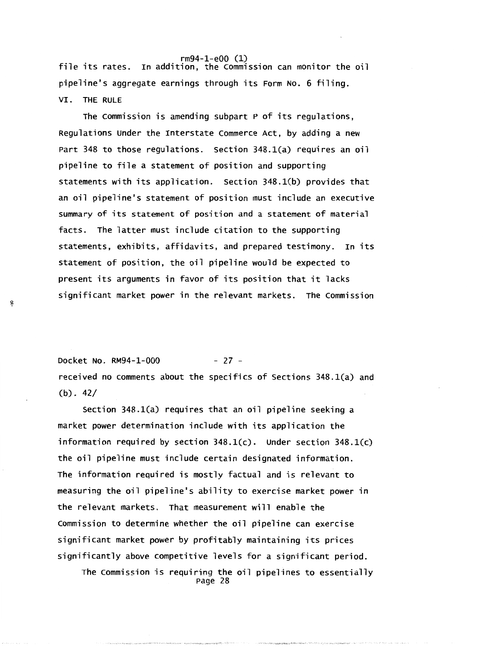rm94-1-e00 (1) file its rates. In addition, the commission can monitor the oil pipeline's aggregate earnings through its Form No. 6 filing. VI. THE RULE

The commission is amending subpart P of its regulations, Regulations under the Interstate commerce Act, by adding a new Part 348 to those regulations. section 348.l(a) requires an oil pipeline to file a statement of position and supporting statements with its application. section 348.1(b) provides that an oil pipeline's statement of position must include an executive summary of its statement of position and a statement of material facts. The latter must include citation to the supporting statements, exhibits, affidavits, and prepared testimony. In its statement of position, the oil pipeline would be expected to present its arguments in favor of its position that it lacks significant market power in the relevant markets. The commission

Docket No. RM94-1-000 - 27 received no comments about the specifics of sections 348.l(a) and (b). 42/

<sup>~</sup>

section 348.1(a) requires that an oil pipeline seeking a market power determination include with its application the information required by section 348.1(c). under section 348.1(c) the oil pipeline must include certain designated information. The information required is mostly factual and is relevant to measuring the oil pipeline's ability to exercise market power in the relevant markets. That measurement will enable the commission to determine whether the oil pipeline can exercise significant market power by profitably maintaining its prices significantly above competitive levels for a significant period.

The Commission is requiring the oil pipelines to essentially<br>Page 28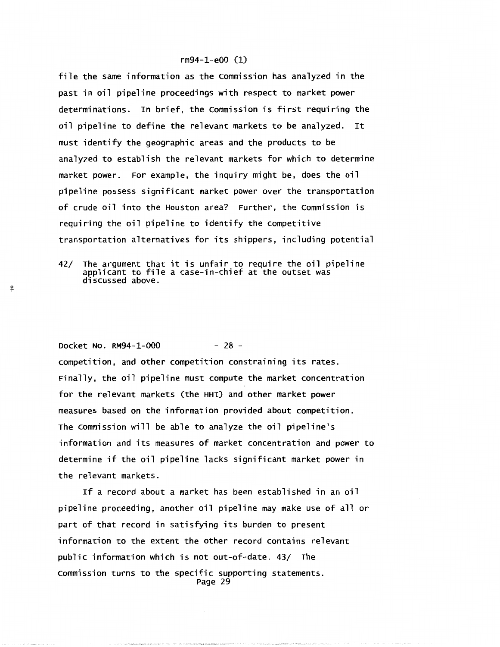file the same information as the Commission has analyzed in the past in oil pipeline proceedings with respect to market power determinations. In brief, the commission is first requiring the oil pipeline to define the relevant markets to be analyzed. It must identify the geographic areas and the products to be analyzed to establish the relevant markets for which to determine market power. For example, the inquiry might be, does the oil pipeline possess significant market power over the transportation of crude oil into the Houston area? Further, the Commission is requiring the oil pipeline to identify the competitive transportation alternatives for its shippers, including potential

 $42/$  The argument that it is unfair to require the oil pipeline applicant to file a case-in-chief at the outset was<br>discussed above.

Docket No. RM94-1-000 - 28 -

<sup>~</sup>

₽

competition, and other competition constraining its rates. Finally, the oil pipeline must compute the market concentration for the relevant markets (the HHI) and other market power measures based on the information provided about competition. The commission will be able to analyze the oil pipeline's information and its measures of market concentration and power to determine if the oil pipeline lacks significant market power in the relevant markets.

If a record about a market has been established in an oil pipeline proceeding, another oil pipeline may make use of all or part of that record in satisfying its burden to present information to the extent the other record contains relevant public information which is not out-of-date. 43/ The commission turns to the specific supporting statements. Page 29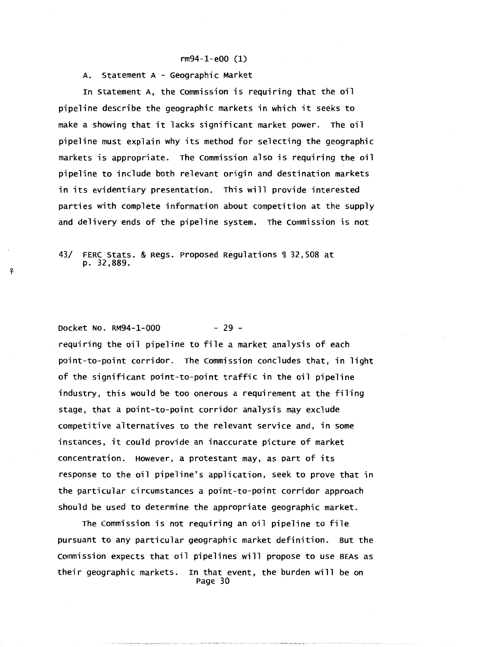A. Statement A - Geographic Market

In statement A, the Commission is requiring that the oil pipeline describe the geographic markets in which it seeks to make a showing that it lacks significant market power. The oil pipeline must explain why its method for selecting the geographic markets is appropriate. The Commission also is requiring the oil pipeline to include both relevant origin and destination markets in its evidentiary presentation. This will provide interested parties with complete information about competition at the supply and delivery ends of the pipeline system. The commission is not

43/ FERC Stats. & Regs. Proposed Regulations \ 32,508 at p. 32,889.

# Docket No. RM94-1-000 - 29 -

<sup>~</sup>

requiring the oil pipeline to file a market analysis of each point-to-point corridor. The commission concludes that, in light of the significant point-to-point traffic in the oil pipeline industry, this would be too onerous a requirement at the filing stage, that a point-to-point corridor analysis may exclude competitive alternatives to the relevant service and, in some instances, it could provide an inaccurate picture of market concentration. However, a protestant may, as part of its response to the oil pipeline's application, seek to prove that in the particular circumstances a point-to-point corridor approach should be used to determine the appropriate geographic market.

The commission is not requiring an oil pipeline to file pursuant to any particular geographic market definition. But the commission expects that oil pipelines will propose to use BEAs as their geographic markets. In that event, the burden will be on Page 30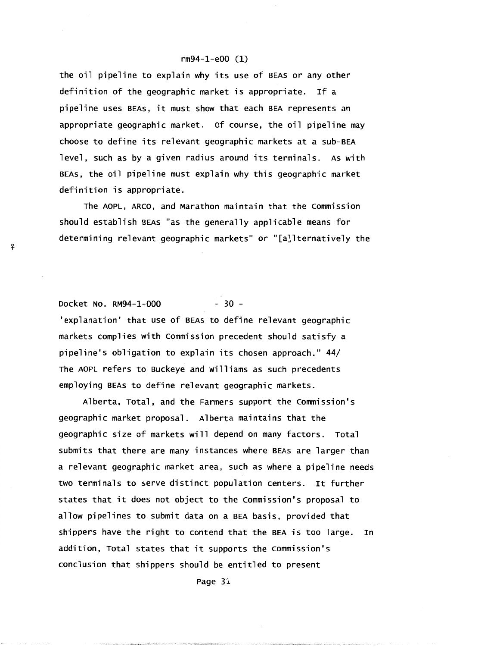the oil pipeline to explain why its use of BEAs or any other definition of the geographic market is appropriate. If a pipeline uses BEAs, it must show that each BEA represents an appropriate geographic market. of course, the oil pipeline may choose to define its relevant geographic markets at a sub-BEA level, such as by a given radius around its terminals. As with BEAs, the oil pipeline must explain why this geographic market definition is appropriate.

The AOPL, ARCO, and Marathon maintain that the commission should establish BEAs "as the generally applicable means for determining relevant geographic markets'' or "[a]lternatively the

# Docket No. RM94-1-000 - 30 -

<sup>~</sup>

'explanation' that use of BEAs to define relevant geographic markets complies with commission precedent should satisfy a pipeline's obligation to explain its chosen approach." 44/ The AOPL refers to Buckeye and williams as such precedents employing BEAs to define relevant geographic markets.

Alberta, Total, and the Farmers support the commission's geographic market proposal. Alberta maintains that the geographic size of markets will depend on many factors. Total submits that there are many instances where BEAs are larger than a relevant geographic market area, such as where a pipeline needs two terminals to serve distinct population centers. It further states that it does not object to the commission's proposal to allow pipelines to submit data on a BEA basis, provided that shippers have the right to contend that the BEA is too large. In addition, Total states that it supports the commission's conclusion that shippers should be entitled to present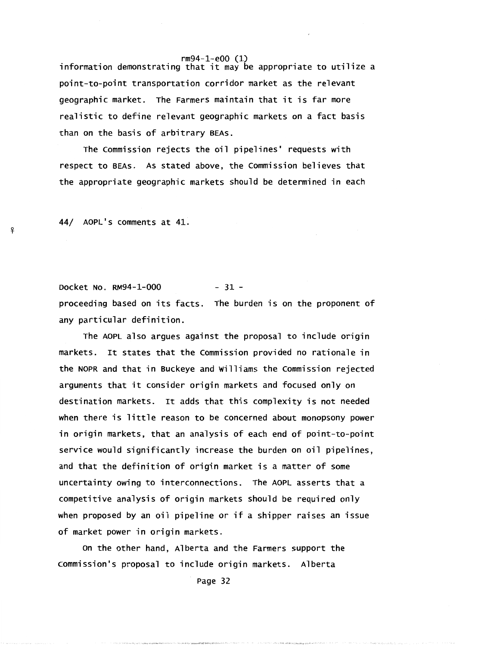rm94-1-e00 (1) information demonstrating that it may be appropriate to utilize a point-to-point transportation corridor market as the relevant geographic market. The Farmers maintain that it is far more realistic to define relevant geographic markets on a fact basis than on the basis of arbitrary BEAs.

The commission rejects the oil pipelines' requests with respect to BEAs. As stated above, the commission believes that the appropriate geographic markets should be determined in each

44/ AOPL's comments at 41.

 $\mathbf{P}$ 

Docket No. RM94-1-000 - 31 proceeding based on its facts. The burden is on the proponent of any particular definition.

The AOPL also argues against the proposal to include origin markets. It states that the commission provided no rationale in the NOPR and that in Buckeye and Williams the commission rejected arguments that it consider origin markets and focused only on destination markets. It adds that this complexity is not needed when there is little reason to be concerned about monopsony power in origin markets, that an analysis of each end of point-to-point service would significantly increase the burden on oil pipelines, and that the definition of origin market is a matter of some uncertainty owing to interconnections. The AOPL asserts that a competitive analysis of origin markets should be required only when proposed by an oil pipeline or if a shipper raises an issue of market power in origin markets.

on the other hand, Alberta and the Farmers support the commission's proposal to include origin markets. Alberta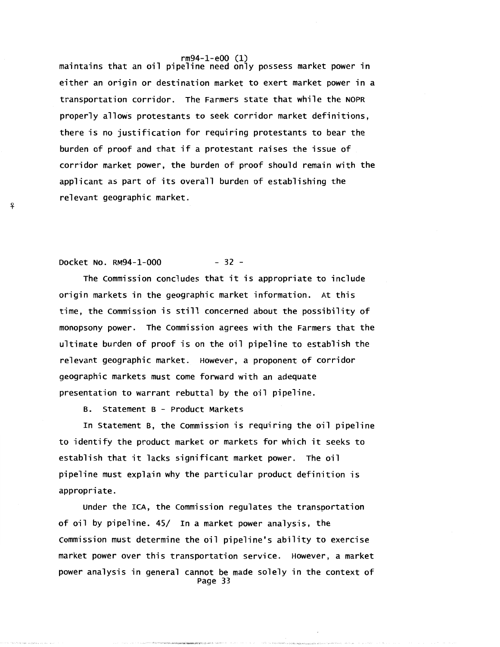rm94-1-e00 (1) maintains that an oil pipeline need only possess market power in either an origin or destination market to exert market power in a transportation corridor. The Farmers state that while the NOPR properly allows protestants to seek corridor market definitions, there is no justification for requiring protestants to bear the burden of proof and that if a protestant raises the issue of corridor market power, the burden of proof should remain with the applicant as part of its overall burden of establishing the relevant geographic market.

# Docket No. RM94-1-000 - 32 -

The commission concludes that it is appropriate to include origin markets in the geographic market information. At this time, the Commission is still concerned about the possibility of monopsony power. The commission agrees with the Farmers that the ultimate burden of proof is on the oil pipeline to establish the relevant geographic market. However, a proponent of corridor geographic markets must come forward with an adequate presentation to warrant rebuttal by the oil pipeline.

B. Statement B - Product Markets

In statement B, the commission is requiring the oil pipeline to identify the product market or markets for which it seeks to establish that it lacks significant market power. The oil pipeline must explain why the particular product definition is appropriate.

Under the ICA, the commission regulates the transportation of oil by pipeline. 45/ In a market power analysis, the commission must determine the oil pipeline's ability to exercise market power over this transportation service. However, a market power analysis in general cannot be made solely in the context of Page 33

<sup>~</sup>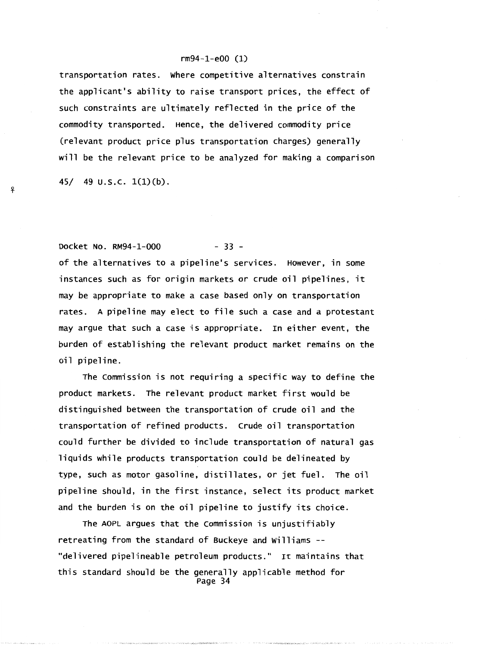transportation rates. where competitive alternatives constrain the applicant's ability to raise transport prices, the effect of such constraints are ultimately reflected in the price of the commodity transported. Hence, the delivered commodity price (relevant product price plus transportation charges) generally will be the relevant price to be analyzed for making a comparison

45/ 49  $U.S.C. 1(1)(b)$ .

*-'?* 

# Docket No. RM94-1-000 - 33 -

of the alternatives to a pipeline's services. However, in some instances such as for origin markets or crude oil pipelines, it may be appropriate to make a case based only on transportation rates. A pipeline may elect to file such a case and a protestant may argue that such a case is appropriate. In either event, the burden of establishing the relevant product market remains on the oil pipeline.

The commission is not requiring a specific way to define the product markets. The relevant product market first would be distinguished between the transportation of crude oil and the transportation of refined products. crude oil transportation could further be divided to include transportation of natural gas liquids while products transportation could be delineated by type, such as motor gasoline, distillates, or jet fuel. The oil pipeline should, in the first instance, select its product market and the burden is on the oil pipeline to justify its choice.

The AOPL argues that the commission is unjustifiably retreating from the standard of Buckeye and williams -- "delivered pipelineable petroleum products." It maintains that this standard should be the generally applicable method for Page 34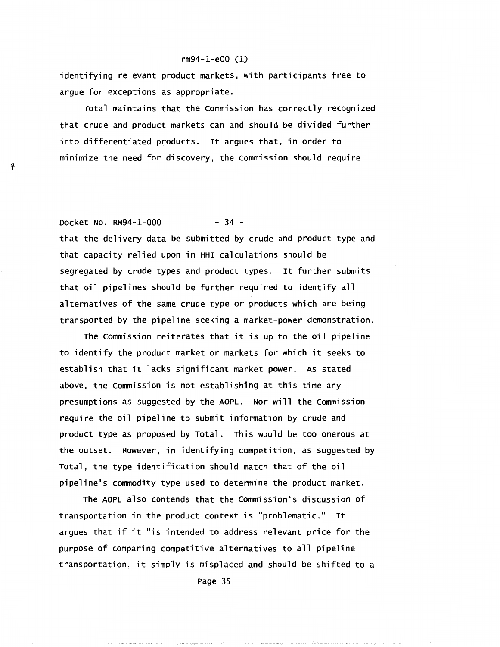identifying relevant product markets, with participants free to argue for exceptions as appropriate.

Total maintains that the commission has correctly recognized that crude and product markets can and should be divided further into differentiated products. It argues that, in order to minimize the need for discovery, the commission should require

<sup>~</sup>

Docket No. RM94-1-000 - 34 that the delivery data be submitted by crude and product type and that capacity relied upon in HHI calculations should be segregated by crude types and product types. It further submits that oil pipelines should be further required to identify all alternatives of the same crude type or products which are being transported by the pipeline seeking a market-power demonstration.

The commission reiterates that it is up to the oil pipeline to identify the product market or markets for which it seeks to establish that it lacks significant market power. As stated above, the commission is not establishing at this time any presumptions as suggested by the AOPL. Nor will the commission require the oil pipeline to submit information by crude and product type as proposed by Total. This would be too onerous at the outset. However, in identifying competition, as suggested by Total, the type identification should match that of the oil pipeline's commodity type used to determine the product market.

The AOPL also contends that the commission's discussion of transportation in the product context is "problematic." It argues that if it "is intended to address relevant price for the purpose of comparing competitive alternatives to all pipeline transportation, it simply is misplaced and should be shifted to a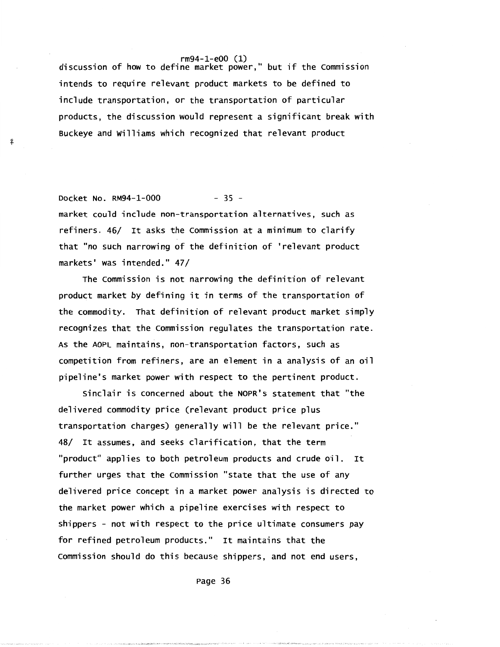rm94-1-e00 (1) discussion of how to define market power," but if the commission intends to require relevant product markets to be defined to include transportation, or the transportation of particular products, the discussion would represent a significant break with Buckeye and williams which recognized that relevant product

Docket No. RM94-1-000 - 35 market could include non-transportation alternatives, such as refiners. 46/ It asks the commission at a minimum to clarify that "no such narrowing of the definition of 'relevant product markets' was intended." 47/

!f

The commission is not narrowing the definition of relevant product market by defining it in terms of the transportation of the commodity. That definition of relevant product market simply recognizes that the commission regulates the transportation rate. As the AOPL maintains, non-transportation factors, such as competition from refiners, are an element in a analysis of an oil pipeline's market power with respect to the pertinent product.

sinclair is concerned about the NOPR's statement that "the delivered commodity price (relevant product price plus transportation charges) generally will be the relevant price." 48/ It assumes, and seeks clarification, that the term "product" applies to both petroleum products and crude oil. It further urges that the commission "state that the use of any delivered price concept in a market power analysis is directed to the market power which a pipeline exercises with respect to shippers - not with respect to the price ultimate consumers pay for refined petroleum products." It maintains that the commission should do this because shippers, and not end users,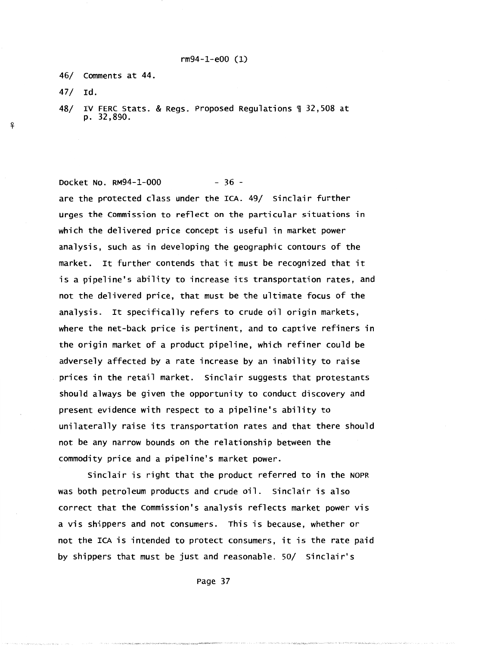46/ comments at 44.

47/ Id.

<sup>~</sup>

₽

48/ IV FERC Stats. & Regs. Proposed Regulations~ 32,508 at p. 32,890.

Docket No. RM94-1-000 - 36 -

are the protected class under the ICA. 49/ sinclair further urges the Commission to reflect on the particular situations 1n which the delivered price concept is useful in market power analysis, such as in developing the geographic contours of the market. It further contends that it must be recognized that it is a pipeline's ability to increase its transportation rates, and not the delivered price, that must be the ultimate focus of the analysis. It specifically refers to crude oil origin markets, where the net-back price is pertinent, and to captive refiners in the origin market of a product pipeline, which refiner could be adversely affected by a rate increase by an inability to raise prices in the retail market. sinclair suggests that protestants should always be given the opportunity to conduct discovery and present evidence with respect to a pipeline's ability to unilaterally raise its transportation rates and that there should not be any narrow bounds on the relationship between the commodity price and a pipeline's market power.

Sinclair is right that the product referred to in the NOPR was both petroleum products and crude oil. Sinclair is also correct that the commission's analysis reflects market power vis a vis shippers and not consumers. This is because, whether or not the ICA is intended to protect consumers, it is the rate paid by shippers that must be just and reasonable. 50/ sinclair's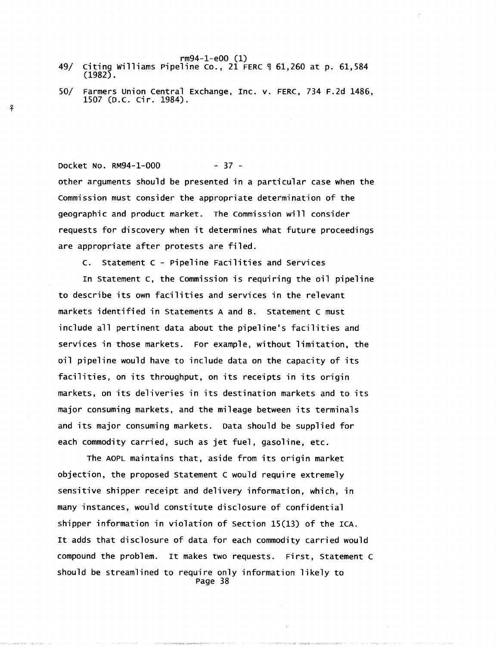- rm94-1-e00 (1) 49/ citing Williams Pipeline co., 21 FERC ~ 61,260 at p. 61,584 (1982).
- 50/ Farmers union central Exchange, Inc. v. FERC, 734 F.2d 1486, 1507 (D.C. Cir. 1984).

Docket No. RM94-1-000 - 37 other arguments should be presented in a particular case when the commission must consider the appropriate determination of the geographic and product market. The Commission will consider requests for discovery when it determines what future proceedings are appropriate after protests are filed.

c. Statement c - Pipeline Facilities and services

In Statement c, the Commission is requiring the oil pipeline to describe its own facilities and services in the relevant markets identified in Statements A and B. statement c must include all pertinent data about the pipeline's facilities and services in those markets. For example, without limitation, the oil pipeline would have to include data on the capacity of its facilities, on its throughput, on its receipts in its origin markets, on its deliveries in its destination markets and to its major consuming markets, and the mileage between its terminals and its major consuming markets. Data should be supplied for each commodity carried, such as jet fuel, gasoline, etc.

The AOPL maintains that, aside from its origin market objection, the proposed statement c would require extremely sensitive shipper receipt and delivery information, which, in many instances, would constitute disclosure of confidential shipper information in violation of section 15(13) of the ICA. It adds that disclosure of data for each commodity carried would compound the problem. It makes two requests. First, Statement c should be streamlined to require only information likely to Page 38

 $\ddot{\mathbf{r}}$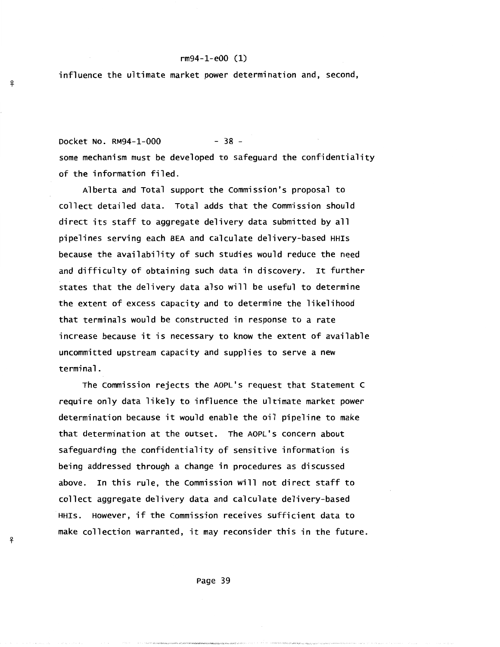influence the ultimate market power determination and, second,

<sup>~</sup>

₽

<sup>~</sup>

우

Docket No. RM94-1-000 - 38 some mechanism must be developed to safeguard the confidentiality of the information filed.

Alberta and Total support the commission's proposal to collect detailed data. Total adds that the commission should direct its staff to aggregate delivery data submitted by all pipelines serving each BEA and calculate delivery-based HHis because the availability of such studies would reduce the need and difficulty of obtaining such data in discovery. It further states that the delivery data also will be useful to determine the extent of excess capacity and to determine the likelihood that terminals would be constructed in response to a rate increase because it is necessary to know the extent of available uncommitted upstream capacity and supplies to serve a new terminal.

The commission rejects the AOPL's request that statement c require only data likely to influence the ultimate market power determination because it would enable the oil pipeline to make that determination at the outset. The AOPL's concern about safeguarding the confidentiality of sensitive information is being addressed through a change in procedures as discussed above. In this rule, the commission will not direct staff to collect aggregate delivery data and calculate delivery-based HHis. However, if the commission receives sufficient data to make collection warranted, it may reconsider this in the future.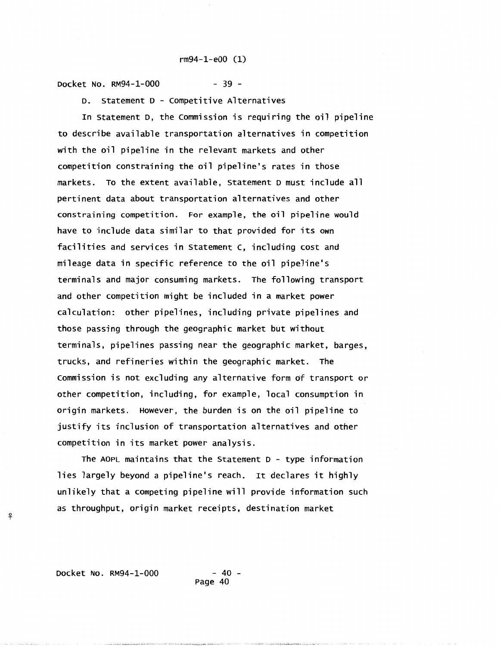Docket No. RM94-1-000 - 39 -

D. statement D - competitive Alternatives

In Statement D, the commission is requiring the oil pipeline to describe available transportation alternatives in competition with the oil pipeline in the relevant markets and other competition constraining the oil pipeline's rates in those markets. To the extent available, Statement D must include all pertinent data about transportation alternatives and other constraining competition. For example, the oil pipeline would have to include data similar to that provided for its own facilities and services in statement c, including cost and mileage data in specific reference to the oil pipeline's terminals and major consuming markets. The following transport and other competition might be included in a market power calculation: other pipelines, including private pipelines and those passing through the geographic market but without terminals, pipelines passing near the geographic market, barges, trucks, and refineries within the geographic market. The commission is not excluding any alternative form of transport or other competition, including. for example, local consumption in origin markets. However, the burden is on the oil pipeline to justify its inclusion of transportation alternatives and other competition in its market power analysis.

The AOPL maintains that the statement D - type information lies largely beyond a pipeline's reach. It declares it highly unlikely that a competing pipeline will provide information such as throughput, origin market receipts. destination market

Docket No. RM94-1-000 - 40 -

<sup>~</sup>

ቶ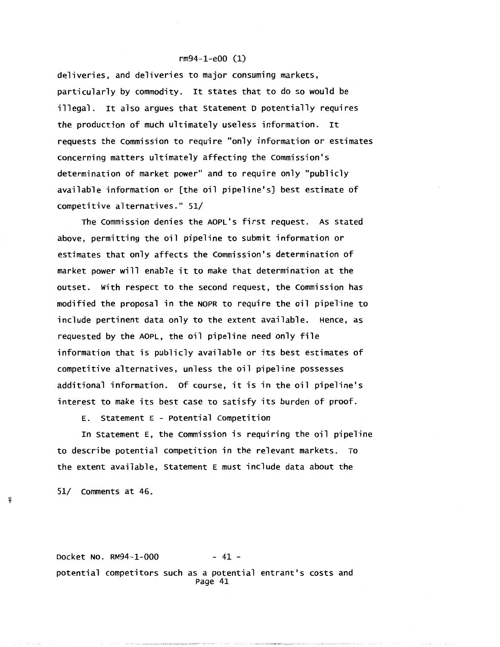deliveries, and deliveries to major consuming markets, particularly by commodity. It states that to do so would be illegal. It also argues that Statement D potentially requires the production of much ultimately useless information. It requests the commission to require "only information or estimates concerning matters ultimately affecting the commission's determination of market power" and to require only "publicly available information or [the oil pipeline's] best estimate of competitive alternatives." 51/

The commission denies the AOPL's first request. As stated above, permitting the oil pipeline to submit information or estimates that only affects the commission's determination of market power will enable it to make that determination at the outset. with respect to the second request, the Commission has modified the proposal in the NOPR to require the oil pipeline to include pertinent data only to the extent available. Hence, as requested by the AOPL, the oil pipeline need only file information that is publicly available or its best estimates of competitive alternatives, unless the oil pipeline possesses additional information. of course, it is in the oil pipeline's interest to make its best case to satisfy its burden of proof.

E. statement E - Potential competition

In Statement E, the commission is requiring the oil pipeline to describe potential competition in the relevant markets. To the extent available, Statement E must include data about the

51/ comments at 46.

Docket No. RM94-1-000 - 41 potential competitors such as a potential entrant's costs and Page 41

't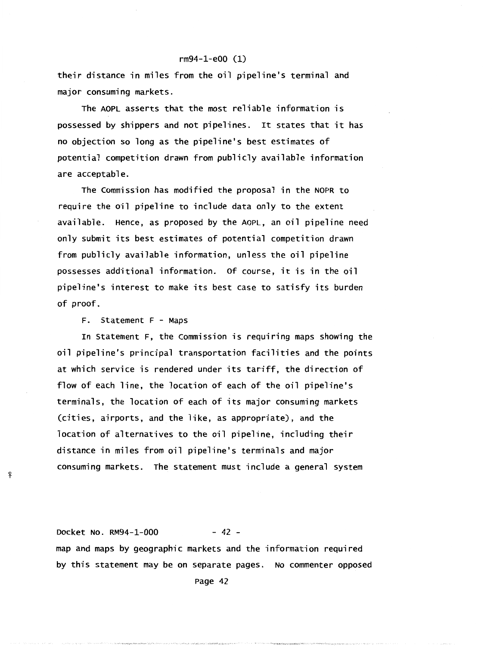their distance in miles from the oil pipeline's terminal and major consuming markets.

The AOPL asserts that the most reliable information is possessed by shippers and not pipelines. It states that it has no objection so long as the pipeline's best estimates of potential competition drawn from publicly available information are acceptable.

The commission has modified the proposal in the NOPR to require the oil pipeline to include data only to the extent available. Hence, as proposed by the AOPL, an oil pipeline need only submit its best estimates of potential competition drawn from publicly available information, unless the oil pipeline possesses additional information. of course, it is in the oil pipeline's interest to make its best case to satisfy its burden of proof.

F. statement F - Maps

ዩ

In Statement F, the commission is requiring maps showing the oil pipeline's principal transportation facilities and the points at which service is rendered under its tariff, the direction of flow of each line, the location of each of the oil pipeline's terminals, the location of each of its major consuming markets (cities, airports, and the like, as appropriate), and the location of alternatives to the oil pipeline, including their distance in miles from oil pipeline's terminals and major consuming markets. The statement must include a general system

Docket No. RM94-1-000 - 42 map and maps by geographic markets and the information required by this statement may be on separate pages. No commenter opposed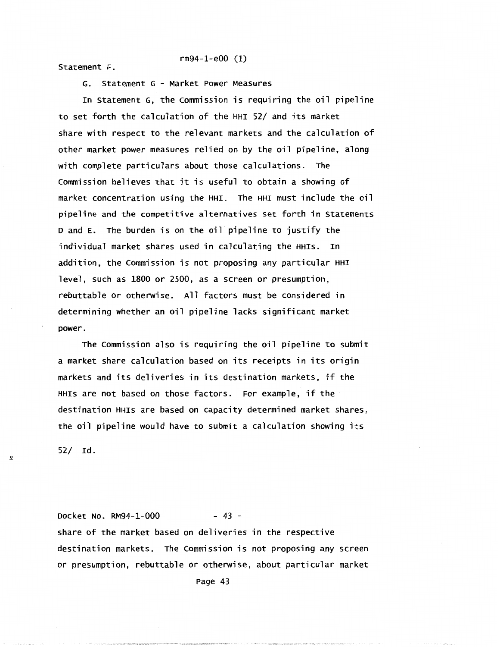rm94-1-e00 (1) Statement F.

G. Statement G - Market Power Measures

In Statement G, the commission is requiring the oil pipeline to set forth the calculation of the HHI 52/ and its market share with respect to the relevant markets and the calculation of other market power measures relied on by the oil pipeline, along with complete particulars about those calculations. The commission believes that it is useful to obtain a showing of market concentration using the HHI. The HHI must include the oil pipeline and the competitive alternatives set forth in Statements D and E. The burden is on the oil pipeline to justify the individual market shares used in calculating the HHis. In addition, the commission is not proposing any particular HHI level, such as 1800 or 2500, as a screen or presumption, rebuttable or otherwise. All factors must be considered in determining whether an oil pipeline lacks significant market power.

The commission also is requiring the oil pipeline to submit a market share calculation based on its receipts in its origin markets and its deliveries in its destination markets, if the HHis are not based on those factors. For example, if the destination HHis are based on capacity determined market shares, the oil pipeline would have to submit a calculation showing its

52/ Id.

ቶ

Docket No. RM94-1-000 - 43 share of the market based on deliveries in the respective destination markets. The commission is not proposing any screen or presumption, rebuttable or otherwise, about particular market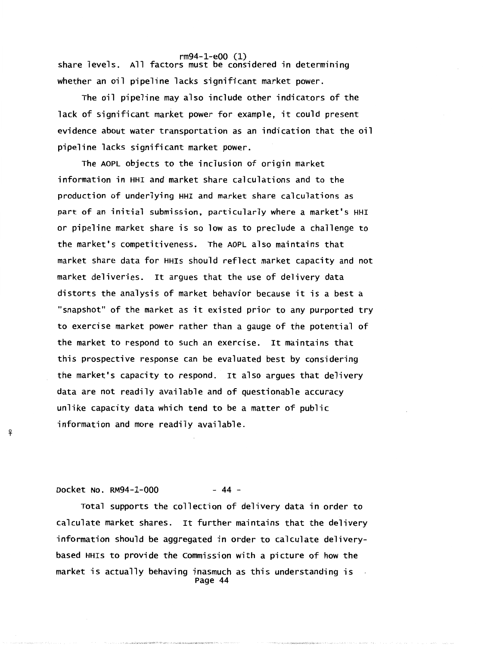rm94-1-e00 (1) share levels. All factors must be considered in determining whether an oil pipeline lacks significant market power.

The oil pipeline may also include other indicators of the lack of significant market power for example, it could present evidence about water transportation as an indication that the oil pipeline lacks significant market power.

The AOPL objects to the inclusion of origin market information in HHI and market share calculations and to the production of underlying HHI and market share calculations as part of an initial submission, particularly where a market's HHI or pipeline market share is so low as to preclude a challenge to the market's competitiveness. The AOPL also maintains that market share data for HHis should reflect market capacity and not market deliveries. It argues that the use of delivery data distorts the analysis of market behavior because it is a best a "snapshot" of the market as it existed prior to any purported try to exercise market power rather than a gauge of the potential of the market to respond to such an exercise. It maintains that this prospective response can be evaluated best by considering the market's capacity to respond. It also argues that delivery data are not readily available and of questionable accuracy unlike capacity data which tend to be a matter of public information and more readily available.

Docket No. RM94-1-000 - 44 -

-'?

Total supports the collection of delivery data in order to calculate market shares. It further maintains that the delivery information should be aggregated in order to calculate deliverybased HHis to provide the commission with a picture of how the market is actually behaving inasmuch as this understanding is Page 44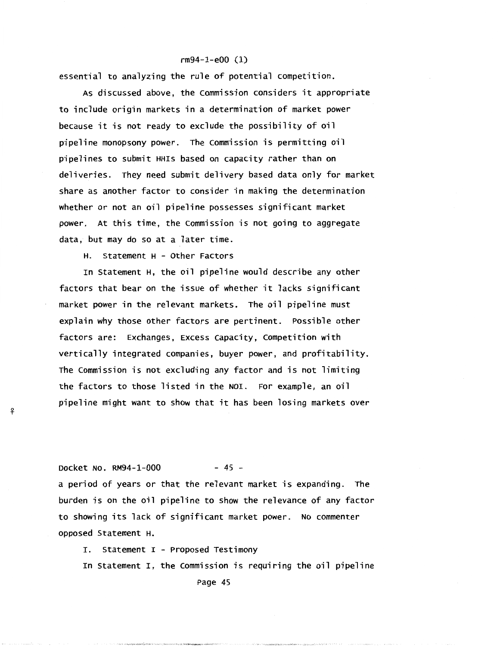#### rm94-1-eOO (1)

essential to analyzing the rule of potential competition.

As discussed above, the Commission considers it appropriate to include origin markets in a determination of market power because it is not ready to exclude the possibility of oil pipeline monopsony power. The commission is permitting oil pipelines to submit HHis based on capacity rather than on deliveries. They need submit delivery based data only for market share as another factor to consider in making the determination whether or not an oil pipeline possesses significant market power. At this time, the commission is not going to aggregate data, but may do so at a later time.

H. Statement H - Other Factors

In Statement H, the oil pipeline would describe any other factors that bear on the issue of whether it lacks significant market power in the relevant markets. The oil pipeline must explain why those other factors are pertinent. Possible other factors are: Exchanges, Excess capacity, competition with vertically integrated companies, buyer power, and profitability. The commission is not excluding any factor and is not limiting the factors to those listed in the NOI. For example, an oil pipeline might want to show that it has been losing markets over

Docket No. RM94-1-000 - 45 -

!f

a period of years or that the relevant market is expanding. The burden is on the oil pipeline to show the relevance of any factor to showing its lack of significant market power. No commenter opposed Statement H.

I. statement I - Proposed Testimony

In Statement I, the Commission is requiring the oil pipeline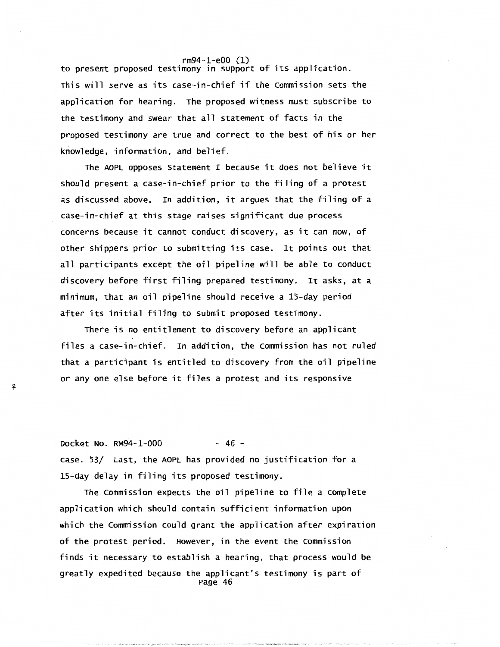to present proposed testimony in support of its application. This will serve as its case-in-chief if the commission sets the application for hearing. The proposed witness must subscribe to the testimony and swear that all statement of facts in the proposed testimony are true and correct to the best of his or her knowledge, information, and belief.

The AOPL opposes Statement I because it does not believe it should present a case-in-chief prior to the filing of a protest as discussed above. In addition, it argues that the filing of a case-in-chief at this stage raises significant due process concerns because it cannot conduct discovery, as it can now, of other shippers prior to submitting its case. It points out that all participants except the oil pipeline will be able to conduct discovery before first filing prepared testimony. It asks, at a minimum, that an oil pipeline should receive a 15-day period after its initial filing to submit proposed testimony.

There is no entitlement to discovery before an applicant files a case-in-chief. In addition, the Commission has not ruled that a participant is entitled to discovery from the oil pipeline or any one else before it files a protest and its responsive

Docket No. RM94-1-000 - 46 case. 53/ Last, the AOPL has provided no justification for a 15-day delay in filing its proposed testimony.

-'f

The commission expects the oil pipeline to file a complete application which should contain sufficient information upon which the commission could grant the application after expiration of the protest period. However, in the event the commission finds it necessary to establish a hearing, that process would be greatly expedited because the applicant's testimony is part of Page 46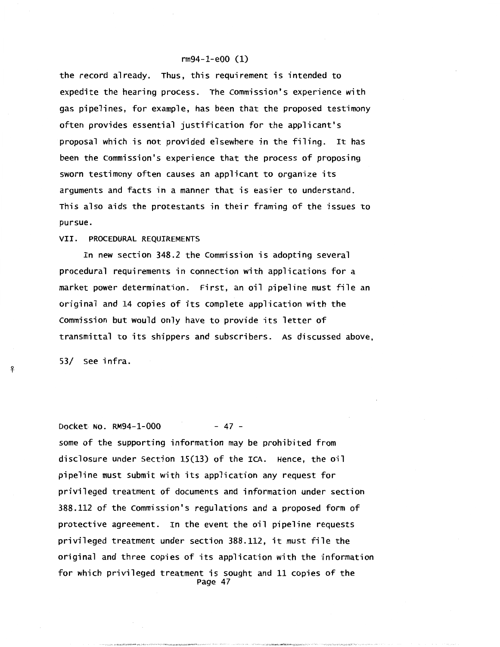the record already. Thus, this requirement is intended to expedite the hearing process. The commission's experience with gas pipelines, for example, has been that the proposed testimony often provides essential justification for the applicant's proposal which is not provided elsewhere in the filing. It has been the commission's experience that the process of proposing sworn testimony often causes an applicant to organize its arguments and facts in a manner that is easier to understand. This also aids the protestants in their framing of the issues to pursue.

#### VII. PROCEDURAL REQUIREMENTS

In new section 348.2 the commission is adopting several procedural requirements in connection with applications for a market power determination. First, an oil pipeline must file an original and 14 copies of its complete application with the commission but would only have to provide its letter of transmittal to its shippers and subscribers. As discussed above,

53/ see infra.

i'-

Docket No. RM94-1-000 - 47 some of the supporting information may be prohibited from disclosure under section 15(13) of the ICA. Hence, the oil pipeline must submit with its application any request for privileged treatment of documents and information under section 388.112 of the commission's regulations and a proposed form of protective agreement. In the event the oil pipeline requests privileged treatment under section 388.112, it must file the original and three copies of its application with the information for which privileged treatment is sought and 11 copies of the Page 47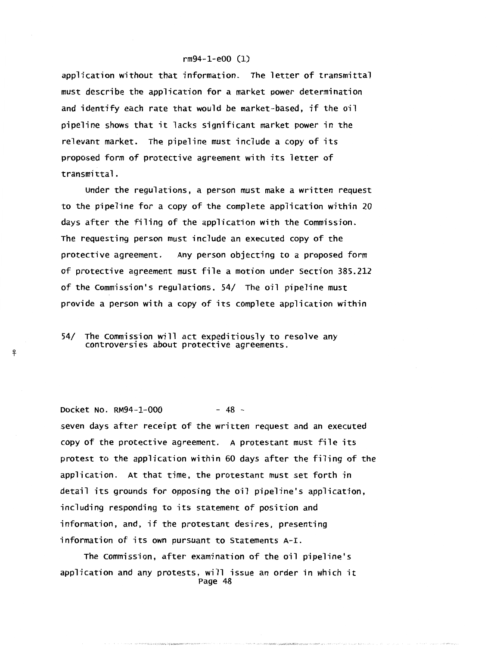application without that information. The letter of transmittal must describe the application for a market power determination and identify each rate that would be market-based, if the oil pipeline shows that it lacks significant market power in the relevant market. The pipeline must include a copy of its proposed form of protective agreement with its letter of transmittal.

Under the regulations, a person must make a written request to the pipeline for a copy of the complete application within 20 days after the filing of the application with the commission. The requesting person must include an executed copy of the protective agreement. Any person objecting to a proposed form of protective agreement must file a motion under section 385.212 of the commission's regulations. 54/ The oil pipeline must provide a person with a copy of its complete application within

54/ The commission will act expeditiously to resolve any controversies about protective agreements.

-¥-

Docket No. RM94-1-000 - 48 seven days after receipt of the written request and an executed copy of the protective agreement. A protestant must file its protest to the application within 60 days after the filing of the application. At that time, the protestant must set forth in detail its grounds for opposing the oil pipeline's application, including responding to its statement of position and information, and, if the protestant desires, presenting information of its own pursuant to Statements A-I.

The commission, after examination of the oil pipeline's application and any protests, will issue an order in which it Page 48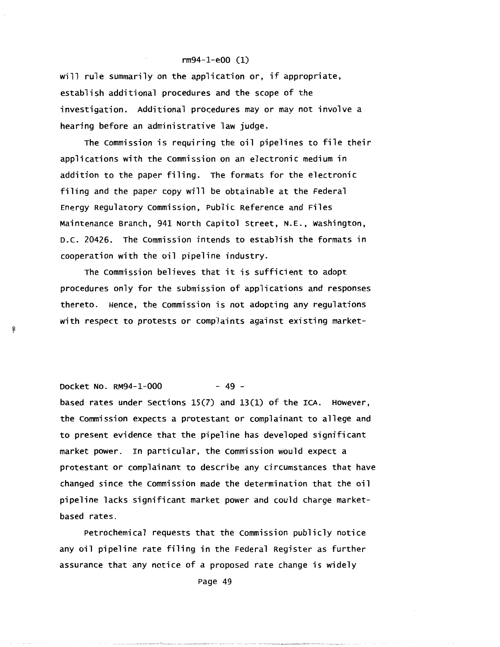will rule summarily on the application or, if appropriate, establish additional procedures and the scope of the investigation. Additional procedures may or may not involve a hearing before an administrative law judge.

The commission is requiring the oil pipelines to file their applications with the commission on an electronic medium in addition to the paper filing. The formats for the electronic filing and the paper copy will be obtainable at the Federal Energy Regulatory commission, Public Reference and Files Maintenance Branch, 941 North capitol Street, N.E., washington, D.C. 20426. The commission intends to establish the formats in cooperation with the oil pipeline industry.

The commission believes that it is sufficient to adopt procedures only for the submission of applications and responses thereto. Hence, the commission is not adopting any regulations with respect to protests or complaints against existing market-

Docket No. RM94-1-000 - 49 -

-'f

based rates under sections 15(7) and 13(1) of the ICA. However, the commission expects a protestant or complainant to allege and to present evidence that the pipeline has developed significant market power. In particular, the commission would expect a protestant or complainant to describe any circumstances that have changed since the commission made the determination that the oil pipeline lacks significant market power and could charge marketbased rates.

Petrochemical requests that the commission publicly notice any oil pipeline rate filing in the Federal Register as further assurance that any notice of a proposed rate change is widely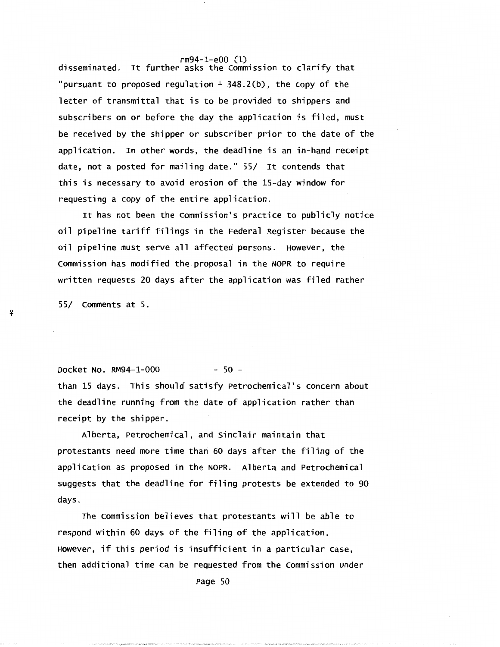rm94-1-e00 (1) disseminated. It further asks the commission to clarify that "pursuant to proposed regulation  $\pm$  348.2(b), the copy of the letter of transmittal that is to be provided to shippers and subscribers on or before the day the application is filed, must be received by the shipper or subscriber prior to the date of the application. In other words, the deadline is an in-hand receipt date, not a posted for mailing date." 55/ It contends that this is necessary to avoid erosion of the 15-day window for requesting a copy of the entire application.

It has not been the Commission's practice to publicly notice oil pipeline tariff filings in the Federal Register because the oil pipeline must serve all affected persons. However, the Commission has modified the proposal in the NOPR to require written requests 20 days after the application was filed rather

55/ Comments at 5.

. .

Docket No. RM94-1-000 - 50 than 15 days. This should satisfy Petrochemical's concern about the deadline running from the date of application rather than receipt by the shipper.

Alberta, Petrochemical, and sinclair maintain that protestants need more time than 60 days after the filing of the application as proposed in the NOPR. Alberta and Petrochemical suggests that the deadline for filing protests be extended to 90 days.

The commission believes that protestants will be able to respond within 60 days of the filing of the application. However, if this period is insufficient in a particular case, then additional time can be requested from the commission under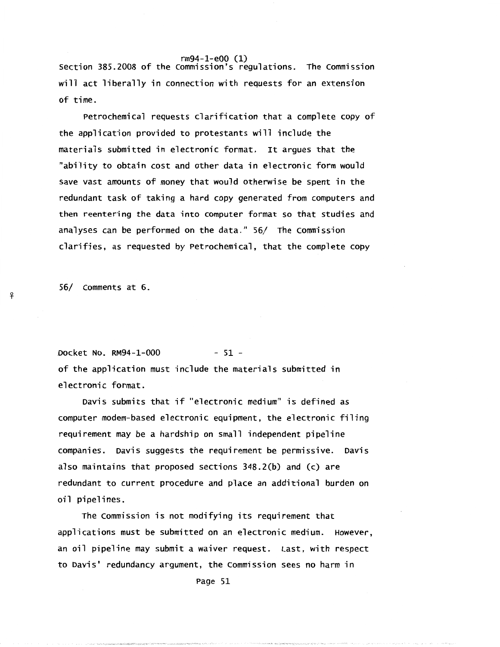rm94-1-e00 (1) section 385.2008 of the commission's regulations. The Commission will act liberally in connection with requests for an extension of time.

Petrochemical requests clarification that a complete copy of the application provided to protestants will include the materials submitted in electronic format. It argues that the "ability to obtain cost and other data in electronic form would save vast amounts of money that would otherwise be spent in the redundant task of taking a hard copy generated from computers and then reentering the data into computer format so that studies and analyses can be performed on the data." 56/ The Commission clarifies, as requested by Petrochemical, that the complete copy

56/ Comments at 6.

-¥-

Docket No. RM94-1-000 - 51 of the application must include the materials submitted in electronic format.

Davis submits that if "electronic medium" is defined as computer modem-based electronic equipment, the electronic filing requirement may be a hardship on small independent pipeline companies. Davis suggests the requirement be permissive. Davis also maintains that proposed sections 348.2(b) and (c) are redundant to current procedure and place an additional burden on oil pipelines.

The commission is not modifying its requirement that applications must be submitted on an electronic medium. However, an oil pipeline may submit a waiver request. Last, with respect to Davis' redundancy argument, the Commission sees no harm in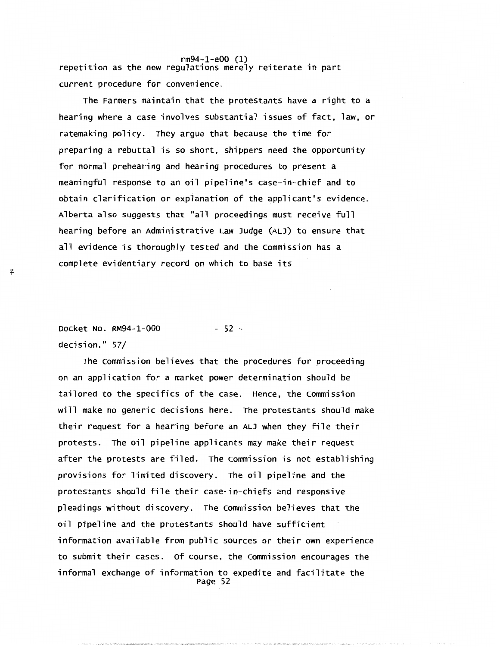rm94-1-e00 (1) repetition as the new regulations merely reiterate in part current procedure for convenience.

The Farmers maintain that the protestants have a right to a hearing where a case involves substantial issues of fact, law, or ratemaking policy. They argue that because the time for preparing a rebuttal is so short, shippers need the opportunity for normal prehearing and hearing procedures to present a meaningful response to an oil pipeline's case-in-chief and to obtain clarification or expianation of the applicant's evidence. Alberta also suggests that "all proceedings must receive full hearing before an Administrative Law Judge (ALJ) to ensure that all evidence is thoroughly tested and the commission has a complete evidentiary record on which to base its

Docket No. RM94-l-000 decision." 57/ - 52 -

*-'?* 

The commission believes that the procedures for proceeding on an application for a market power determination should be tailored to the specifics of the case. Hence, the commission will make no generic decisions here. The protestants should make their request for a hearing before an ALJ when they file their protests. The oil pipeline applicants may make their request after the protests are filed. The commission is not establishing provisions for limited discovery. The oil pipeline and the protestants should file their case-in-chiefs and responsive pleadings without discovery. The commission believes that the oil pipeline and the protestants should have sufficient information available from public sources or their own experience to submit their cases. of course, the commission encourages the informal exchange of information to expedite and facilitate the Page 52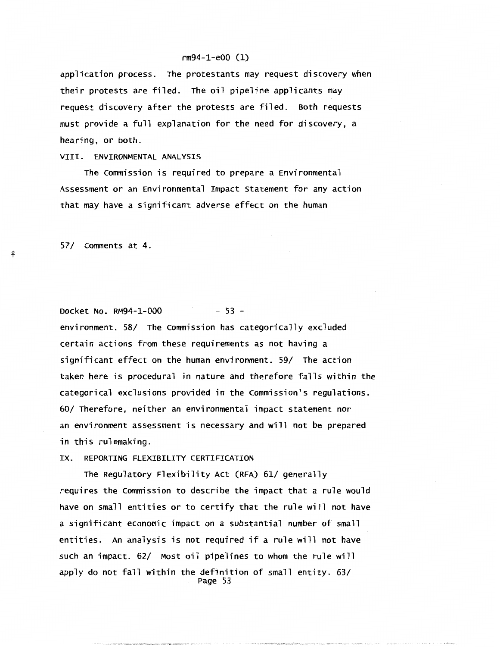application process. The protestants may request discovery when their protests are filed. The oil pipeline applicants may request discovery after the protests are filed. Both requests must provide a full explanation for the need for discovery, a hearing, or both.

# VIII. ENVIRONMENTAL ANALYSIS

The commission is required to prepare a Environmental Assessment or an Environmental Impact Statement for any action that may have a significant adverse effect on the human

57/ comments at 4.

. .

Docket No. RM94-1-000 - 53 -

environment. 58/ The commission has categorically excluded certain actions from these requirements as not having a significant effect on the human environment. 59/ The action taken here is procedural in nature and therefore falls within the categorical exclusions provided in the commission's regulations. 60/ Therefore, neither an environmental impact statement nor an environment assessment is necessary and will not be prepared in this rulemaking.

IX. REPORTING FLEXIBILITY CERTIFICATION

The Regulatory Flexibility Act (RFA) 61/ generally requires the commission to describe the impact that a rule would have on small entities or to certify that the rule will not have a significant economic impact on a substantial number of small entities. An analysis is not required if a rule will not have such an impact. 62/ Most oil pipelines to whom the rule will apply do not fall within the definition of small entity. 63/ Page 53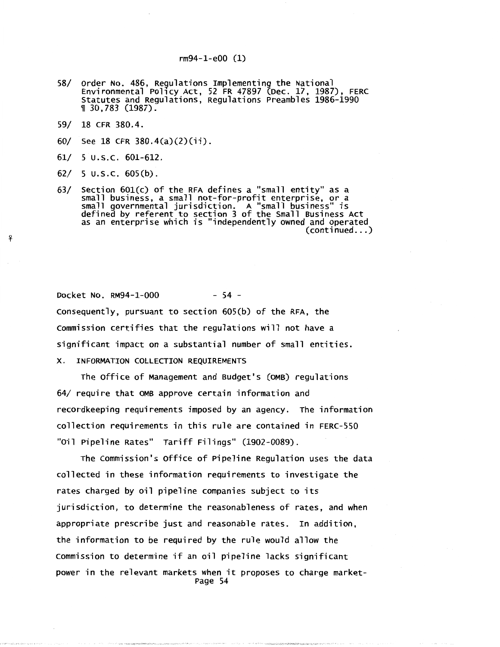- 58/ Order No. 486, Regulations Implementing the National Environmental Pol1cy Act, 52 FR 47897 (Dec. 17, 1987), FERC Statutes and Regulations, Regulations Preambles 1986-1990 <sup>~</sup>30,783 (1987).
- 59/ 18 CFR 380.4.
- 60/ See 18 CFR 380.4(a)(2)(ii).
- 61/ 5 u.s.c. 601-612.
- 62/ 5 u.s.c. 605(b).

!f

63/ Section 601(c) of the RFA defines a "small entity" as a small business, a small not-for-profit enterprise, or a small governmental jurisdiction. A "small business" is defined by referent to section 3 of the Small Business Act as an enterprise which is "independently owned and operated<br>(...continued)

Docket No. RM94-1-000 - 54 consequently, pursuant to section 605(b) of the RFA, the commission certifies that the regulations will not have a significant impact on a substantial number of small entities. X. INFORMATION COLLECTION REQUIREMENTS

The office of Management and Budget's (OMB) regulations 64/ require that OMB approve certain information and recordkeeping requirements imposed by an agency. The information collection requirements in this rule are contained in FERC-550 "oil Pipeline Rates" Tariff Filings" (1902-0089).

The commission's office of Pipeline Regulation uses the data collected in these information requirements to investigate the rates charged by oil pipeline companies subject to its jurisdiction, to determine the reasonableness of rates, and when appropriate prescribe just and reasonable rates. In addition, the information to be required by the rule would allow the commission to determine if an oil pipeline lacks significant power in the relevant markets when it proposes to charge market-Page 54